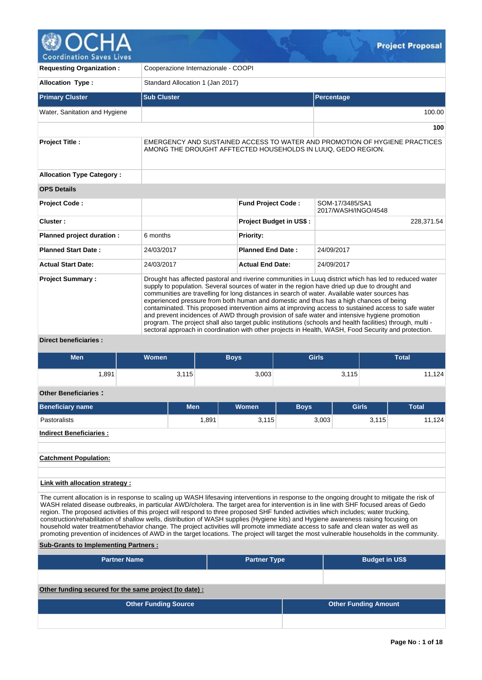

**Coordination Saves Lives** 

| <b>Requesting Organization:</b>  | Cooperazione Internazionale - COOPI                                                                                                                                                                                                                                                                                                                                                                                                                                                                                                                                                                                                                                                                                                                                                                                               |                                |                                        |  |  |  |  |  |  |  |  |  |
|----------------------------------|-----------------------------------------------------------------------------------------------------------------------------------------------------------------------------------------------------------------------------------------------------------------------------------------------------------------------------------------------------------------------------------------------------------------------------------------------------------------------------------------------------------------------------------------------------------------------------------------------------------------------------------------------------------------------------------------------------------------------------------------------------------------------------------------------------------------------------------|--------------------------------|----------------------------------------|--|--|--|--|--|--|--|--|--|
| <b>Allocation Type:</b>          | Standard Allocation 1 (Jan 2017)                                                                                                                                                                                                                                                                                                                                                                                                                                                                                                                                                                                                                                                                                                                                                                                                  |                                |                                        |  |  |  |  |  |  |  |  |  |
| <b>Primary Cluster</b>           | <b>Sub Cluster</b>                                                                                                                                                                                                                                                                                                                                                                                                                                                                                                                                                                                                                                                                                                                                                                                                                |                                | Percentage                             |  |  |  |  |  |  |  |  |  |
| Water, Sanitation and Hygiene    |                                                                                                                                                                                                                                                                                                                                                                                                                                                                                                                                                                                                                                                                                                                                                                                                                                   |                                | 100.00                                 |  |  |  |  |  |  |  |  |  |
|                                  |                                                                                                                                                                                                                                                                                                                                                                                                                                                                                                                                                                                                                                                                                                                                                                                                                                   |                                | 100                                    |  |  |  |  |  |  |  |  |  |
| <b>Project Title:</b>            | EMERGENCY AND SUSTAINED ACCESS TO WATER AND PROMOTION OF HYGIENE PRACTICES<br>AMONG THE DROUGHT AFFTECTED HOUSEHOLDS IN LUUQ, GEDO REGION.                                                                                                                                                                                                                                                                                                                                                                                                                                                                                                                                                                                                                                                                                        |                                |                                        |  |  |  |  |  |  |  |  |  |
| <b>Allocation Type Category:</b> |                                                                                                                                                                                                                                                                                                                                                                                                                                                                                                                                                                                                                                                                                                                                                                                                                                   |                                |                                        |  |  |  |  |  |  |  |  |  |
| <b>OPS Details</b>               |                                                                                                                                                                                                                                                                                                                                                                                                                                                                                                                                                                                                                                                                                                                                                                                                                                   |                                |                                        |  |  |  |  |  |  |  |  |  |
| <b>Project Code:</b>             |                                                                                                                                                                                                                                                                                                                                                                                                                                                                                                                                                                                                                                                                                                                                                                                                                                   | <b>Fund Project Code:</b>      | SOM-17/3485/SA1<br>2017/WASH/INGO/4548 |  |  |  |  |  |  |  |  |  |
| Cluster:                         |                                                                                                                                                                                                                                                                                                                                                                                                                                                                                                                                                                                                                                                                                                                                                                                                                                   | <b>Project Budget in US\$:</b> | 228,371.54                             |  |  |  |  |  |  |  |  |  |
| Planned project duration :       | 6 months                                                                                                                                                                                                                                                                                                                                                                                                                                                                                                                                                                                                                                                                                                                                                                                                                          | <b>Priority:</b>               |                                        |  |  |  |  |  |  |  |  |  |
| <b>Planned Start Date:</b>       | 24/03/2017                                                                                                                                                                                                                                                                                                                                                                                                                                                                                                                                                                                                                                                                                                                                                                                                                        | <b>Planned End Date:</b>       | 24/09/2017                             |  |  |  |  |  |  |  |  |  |
| <b>Actual Start Date:</b>        | 24/03/2017                                                                                                                                                                                                                                                                                                                                                                                                                                                                                                                                                                                                                                                                                                                                                                                                                        | <b>Actual End Date:</b>        | 24/09/2017                             |  |  |  |  |  |  |  |  |  |
| <b>Project Summary:</b>          | Drought has affected pastoral and riverine communities in Luug district which has led to reduced water<br>supply to population. Several sources of water in the region have dried up due to drought and<br>communities are travelling for long distances in search of water. Available water sources has<br>experienced pressure from both human and domestic and thus has a high chances of being<br>contaminated. This proposed intervention aims at improving access to sustained access to safe water<br>and prevent incidences of AWD through provision of safe water and intensive hygiene promotion<br>program. The project shall also target public institutions (schools and health facilities) through, multi -<br>sectoral approach in coordination with other projects in Health, WASH, Food Security and protection. |                                |                                        |  |  |  |  |  |  |  |  |  |
| <b>Direct beneficiaries:</b>     |                                                                                                                                                                                                                                                                                                                                                                                                                                                                                                                                                                                                                                                                                                                                                                                                                                   |                                |                                        |  |  |  |  |  |  |  |  |  |

# **Men Women Boys Girls Total** 1,891 3,115 3,003 3,115 11,124 **Other Beneficiaries : Beneficiary name Men Women Boys Girls Total** Pastoralists 1,891 3,115 3,003 3,115 11,124 **Indirect Beneficiaries : Catchment Population: Link with allocation strategy :**

The current allocation is in response to scaling up WASH lifesaving interventions in response to the ongoing drought to mitigate the risk of WASH related disease outbreaks, in particular AWD/cholera. The target area for intervention is in line with SHF focused areas of Gedo region. The proposed activities of this project will respond to three proposed SHF funded activities which includes; water trucking, construction/rehabilitation of shallow wells, distribution of WASH supplies (Hygiene kits) and Hygiene awareness raising focusing on household water treatment/behavior change. The project activities will promote immediate access to safe and clean water as well as promoting prevention of incidences of AWD in the target locations. The project will target the most vulnerable households in the community.

# **Sub-Grants to Implementing Partners :**

| <b>Partner Name</b>                                   | <b>Partner Type</b> | <b>Budget in US\$</b>       |
|-------------------------------------------------------|---------------------|-----------------------------|
|                                                       |                     |                             |
| Other funding secured for the same project (to date): |                     |                             |
| <b>Other Funding Source</b>                           |                     | <b>Other Funding Amount</b> |
|                                                       |                     |                             |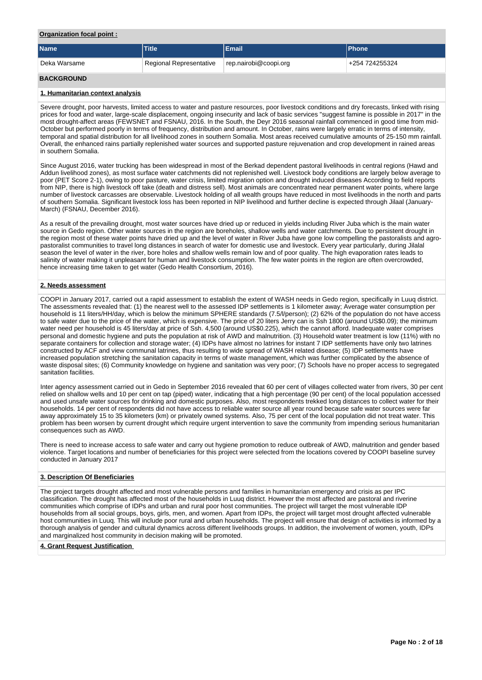#### **Organization focal point :**

| <b>Name</b>       | <b>Title</b>                                     | l Email | <b>IPhone</b>  |
|-------------------|--------------------------------------------------|---------|----------------|
| l Deka Warsame    | rep.nairobi@coopi.org<br>Regional Representative |         | +254 724255324 |
| <b>BACKGROUND</b> |                                                  |         |                |

#### **1. Humanitarian context analysis**

Severe drought, poor harvests, limited access to water and pasture resources, poor livestock conditions and dry forecasts, linked with rising prices for food and water, large-scale displacement, ongoing insecurity and lack of basic services "suggest famine is possible in 2017" in the most drought-affect areas (FEWSNET and FSNAU, 2016. In the South, the Deyr 2016 seasonal rainfall commenced in good time from mid-October but performed poorly in terms of frequency, distribution and amount. In October, rains were largely erratic in terms of intensity, temporal and spatial distribution for all livelihood zones in southern Somalia. Most areas received cumulative amounts of 25-150 mm rainfall. Overall, the enhanced rains partially replenished water sources and supported pasture rejuvenation and crop development in rained areas in southern Somalia.

Since August 2016, water trucking has been widespread in most of the Berkad dependent pastoral livelihoods in central regions (Hawd and Addun livelihood zones), as most surface water catchments did not replenished well. Livestock body conditions are largely below average to poor (PET Score 2-1), owing to poor pasture, water crisis, limited migration option and drought induced diseases According to field reports from NIP, there is high livestock off take (death and distress sell). Most animals are concentrated near permanent water points, where large number of livestock carcasses are observable. Livestock holding of all wealth groups have reduced in most livelihoods in the north and parts of southern Somalia. Significant livestock loss has been reported in NIP livelihood and further decline is expected through Jilaal (January-March) (FSNAU, December 2016).

As a result of the prevailing drought, most water sources have dried up or reduced in yields including River Juba which is the main water source in Gedo region. Other water sources in the region are boreholes, shallow wells and water catchments. Due to persistent drought in the region most of these water points have dried up and the level of water in River Juba have gone low compelling the pastoralists and agropastoralist communities to travel long distances in search of water for domestic use and livestock. Every year particularly, during Jilalal season the level of water in the river, bore holes and shallow wells remain low and of poor quality. The high evaporation rates leads to salinity of water making it unpleasant for human and livestock consumption. The few water points in the region are often overcrowded, hence increasing time taken to get water (Gedo Health Consortium, 2016).

## **2. Needs assessment**

COOPI in January 2017, carried out a rapid assessment to establish the extent of WASH needs in Gedo region, specifically in Luuq district. The assessments revealed that: (1) the nearest well to the assessed IDP settlements is 1 kilometer away; Average water consumption per household is 11 liters/HH/day, which is below the minimum SPHERE standards (7.5/l/person); (2) 62% of the population do not have access to safe water due to the price of the water, which is expensive. The price of 20 liters Jerry can is Ssh 1800 (around US\$0.09); the minimum water need per household is 45 liters/day at price of Ssh. 4,500 (around US\$0.225), which the cannot afford. Inadequate water comprises personal and domestic hygiene and puts the population at risk of AWD and malnutrition. (3) Household water treatment is low (11%) with no separate containers for collection and storage water; (4) IDPs have almost no latrines for instant 7 IDP settlements have only two latrines constructed by ACF and view communal latrines, thus resulting to wide spread of WASH related disease; (5) IDP settlements have increased population stretching the sanitation capacity in terms of waste management, which was further complicated by the absence of waste disposal sites; (6) Community knowledge on hygiene and sanitation was very poor; (7) Schools have no proper access to segregated sanitation facilities.

Inter agency assessment carried out in Gedo in September 2016 revealed that 60 per cent of villages collected water from rivers, 30 per cent relied on shallow wells and 10 per cent on tap (piped) water, indicating that a high percentage (90 per cent) of the local population accessed and used unsafe water sources for drinking and domestic purposes. Also, most respondents trekked long distances to collect water for their households. 14 per cent of respondents did not have access to reliable water source all year round because safe water sources were far away approximately 15 to 35 kilometers (km) or privately owned systems. Also, 75 per cent of the local population did not treat water. This problem has been worsen by current drought which require urgent intervention to save the community from impending serious humanitarian consequences such as AWD.

There is need to increase access to safe water and carry out hygiene promotion to reduce outbreak of AWD, malnutrition and gender based violence. Target locations and number of beneficiaries for this project were selected from the locations covered by COOPI baseline survey conducted in January 2017

#### **3. Description Of Beneficiaries**

The project targets drought affected and most vulnerable persons and families in humanitarian emergency and crisis as per IPC classification. The drought has affected most of the households in Luuq district. However the most affected are pastoral and riverine communities which comprise of IDPs and urban and rural poor host communities. The project will target the most vulnerable IDP households from all social groups, boys, girls, men, and women. Apart from IDPs, the project will target most drought affected vulnerable host communities in Luuq. This will include poor rural and urban households. The project will ensure that design of activities is informed by a thorough analysis of gender and cultural dynamics across different livelihoods groups. In addition, the involvement of women, youth, IDPs and marginalized host community in decision making will be promoted.

#### **4. Grant Request Justification**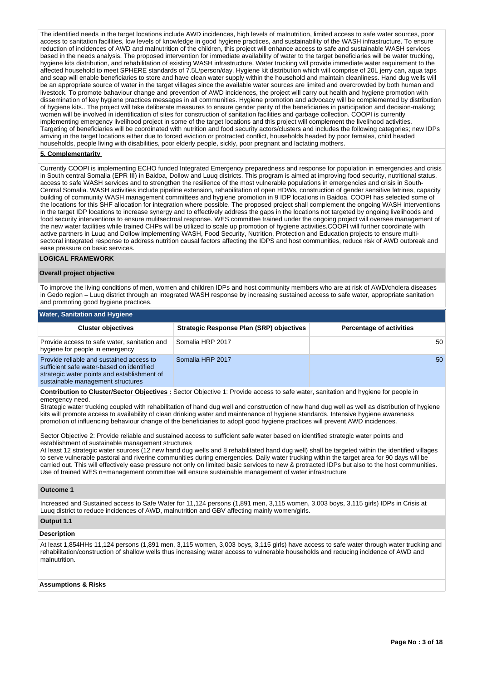The identified needs in the target locations include AWD incidences, high levels of malnutrition, limited access to safe water sources, poor access to sanitation facilities, low levels of knowledge in good hygiene practices, and sustainability of the WASH infrastructure. To ensure reduction of incidences of AWD and malnutrition of the children, this project will enhance access to safe and sustainable WASH services based in the needs analysis. The proposed intervention for immediate availability of water to the target beneficiaries will be water trucking, hygiene kits distribution, and rehabilitation of existing WASH infrastructure. Water trucking will provide immediate water requirement to the affected household to meet SPHERE standards of 7.5L/person/day. Hygiene kit distribution which will comprise of 20L jerry can, aqua taps and soap will enable beneficiaries to store and have clean water supply within the household and maintain cleanliness. Hand dug wells will be an appropriate source of water in the target villages since the available water sources are limited and overcrowded by both human and livestock. To promote bahaviour change and prevention of AWD incidences, the project will carry out health and hygiene promotion with dissemination of key hygiene practices messages in all communities. Hygiene promotion and advocacy will be complemented by distribution of hygiene kits.. The project will take deliberate measures to ensure gender parity of the beneficiaries in participation and decision-making; women will be involved in identification of sites for construction of sanitation facilities and garbage collection. COOPI is currently implementing emergency livelihood project in some of the target locations and this project will complement the livelihood activities. Targeting of beneficiaries will be coordinated with nutrition and food security actors/clusters and includes the following categories; new IDPs arriving in the target locations either due to forced eviction or protracted conflict, households headed by poor females, child headed households, people living with disabilities, poor elderly people, sickly, poor pregnant and lactating mothers.

#### **5. Complementarity**

Currently COOPI is implementing ECHO funded Integrated Emergency preparedness and response for population in emergencies and crisis in South central Somalia (EPR III) in Baidoa, Dollow and Luuq districts. This program is aimed at improving food security, nutritional status, access to safe WASH services and to strengthen the resilience of the most vulnerable populations in emergencies and crisis in South-Central Somalia. WASH activities include pipeline extension, rehabilitation of open HDWs, construction of gender sensitive latrines, capacity building of community WASH management committees and hygiene promotion in 9 IDP locations in Baidoa. COOPI has selected some of the locations for this SHF allocation for integration where possible. The proposed project shall complement the ongoing WASH interventions in the target IDP locations to increase synergy and to effectively address the gaps in the locations not targeted by ongoing livelihoods and food security interventions to ensure mulitsectroal response. WES committee trained under the ongoing project will oversee management of the new water facilities while trained CHPs will be utilized to scale up promotion of hygiene activities.COOPI will further coordinate with active partners in Luuq and Dollow implementing WASH, Food Security, Nutrition, Protection and Education projects to ensure multisectoral integrated response to address nutrition causal factors affecting the IDPS and host communities, reduce risk of AWD outbreak and ease pressure on basic services.

#### **LOGICAL FRAMEWORK**

#### **Overall project objective**

To improve the living conditions of men, women and children IDPs and host community members who are at risk of AWD/cholera diseases in Gedo region – Luuq district through an integrated WASH response by increasing sustained access to safe water, appropriate sanitation and promoting good hygiene practices.

| <b>Water, Sanitation and Hygiene</b>                                                                                                                                      |                                          |                                 |  |  |  |  |  |  |  |  |  |
|---------------------------------------------------------------------------------------------------------------------------------------------------------------------------|------------------------------------------|---------------------------------|--|--|--|--|--|--|--|--|--|
| <b>Cluster objectives</b>                                                                                                                                                 | Strategic Response Plan (SRP) objectives | <b>Percentage of activities</b> |  |  |  |  |  |  |  |  |  |
| Provide access to safe water, sanitation and<br>hygiene for people in emergency                                                                                           | Somalia HRP 2017                         | 50                              |  |  |  |  |  |  |  |  |  |
| Provide reliable and sustained access to<br>sufficient safe water-based on identified<br>strategic water points and establishment of<br>sustainable management structures | Somalia HRP 2017                         | 50                              |  |  |  |  |  |  |  |  |  |

#### **Contribution to Cluster/Sector Objectives :** Sector Objective 1: Provide access to safe water, sanitation and hygiene for people in emergency need.

Strategic water trucking coupled with rehabilitation of hand dug well and construction of new hand dug well as well as distribution of hygiene kits will promote access to availability of clean drinking water and maintenance of hygiene standards. Intensive hygiene awareness promotion of influencing behaviour change of the beneficiaries to adopt good hygiene practices will prevent AWD incidences.

Sector Objective 2: Provide reliable and sustained access to sufficient safe water based on identified strategic water points and establishment of sustainable management structures

At least 12 strategic water sources (12 new hand dug wells and 8 rehabilitated hand dug well) shall be targeted within the identified villages to serve vulnerable pastoral and riverine communities during emergencies. Daily water trucking within the target area for 90 days will be carried out. This will effectively ease pressure not only on limited basic services to new & protracted IDPs but also to the host communities. Use of trained WES n=management committee will ensure sustainable management of water infrastructure

#### **Outcome 1**

Increased and Sustained access to Safe Water for 11,124 persons (1,891 men, 3,115 women, 3,003 boys, 3,115 girls) IDPs in Crisis at Luuq district to reduce incidences of AWD, malnutrition and GBV affecting mainly women/girls.

#### **Output 1.1**

## **Description**

At least 1,854HHs 11,124 persons (1,891 men, 3,115 women, 3,003 boys, 3,115 girls) have access to safe water through water trucking and rehabilitation/construction of shallow wells thus increasing water access to vulnerable households and reducing incidence of AWD and malnutrition.

#### **Assumptions & Risks**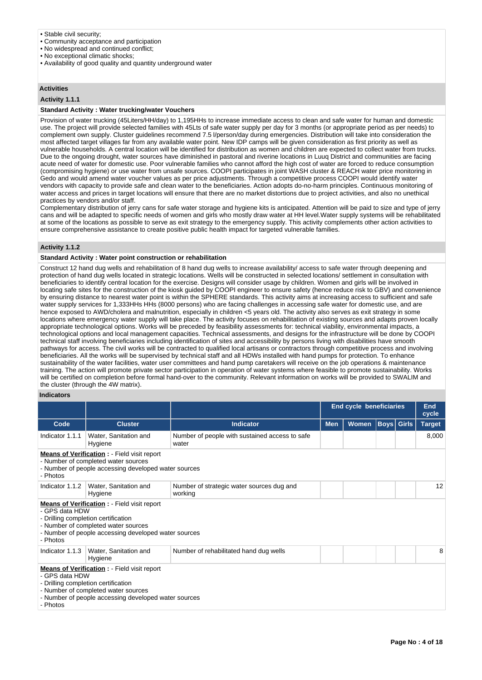#### • Stable civil security;

- Community acceptance and participation
- No widespread and continued conflict;
- No exceptional climatic shocks;
- Availability of good quality and quantity underground water

## **Activities**

#### **Activity 1.1.1**

## **Standard Activity : Water trucking/water Vouchers**

Provision of water trucking (45Liters/HH/day) to 1,195HHs to increase immediate access to clean and safe water for human and domestic use. The project will provide selected families with 45Lts of safe water supply per day for 3 months (or appropriate period as per needs) to complement own supply. Cluster guidelines recommend 7.5 l/person/day during emergencies. Distribution will take into consideration the most affected target villages far from any available water point. New IDP camps will be given consideration as first priority as well as vulnerable households. A central location will be identified for distribution as women and children are expected to collect water from trucks. Due to the ongoing drought, water sources have diminished in pastoral and riverine locations in Luuq District and communities are facing acute need of water for domestic use. Poor vulnerable families who cannot afford the high cost of water are forced to reduce consumption (compromising hygiene) or use water from unsafe sources. COOPI participates in joint WASH cluster & REACH water price monitoring in Gedo and would amend water voucher values as per price adjustments. Through a competitive process COOPI would identify water vendors with capacity to provide safe and clean water to the beneficiaries. Action adopts do-no-harm principles. Continuous monitoring of water access and prices in target locations will ensure that there are no market distortions due to project activities, and also no unethical practices by vendors and/or staff.

Complementary distribution of jerry cans for safe water storage and hygiene kits is anticipated. Attention will be paid to size and type of jerry cans and will be adapted to specific needs of women and girls who mostly draw water at HH level.Water supply systems will be rehabilitated at some of the locations as possible to serve as exit strategy to the emergency supply. This activity complements other action activities to ensure comprehensive assistance to create positive public health impact for targeted vulnerable families.

#### **Activity 1.1.2**

#### **Standard Activity : Water point construction or rehabilitation**

Construct 12 hand dug wells and rehabilitation of 8 hand dug wells to increase availability/ access to safe water through deepening and protection of hand dug wells located in strategic locations. Wells will be constructed in selected locations/ settlement in consultation with beneficiaries to identify central location for the exercise. Designs will consider usage by children. Women and girls will be involved in locating safe sites for the construction of the kiosk guided by COOPI engineer to ensure safety (hence reduce risk to GBV) and convenience by ensuring distance to nearest water point is within the SPHERE standards. This activity aims at increasing access to sufficient and safe water supply services for 1,333HHs HHs (8000 persons) who are facing challenges in accessing safe water for domestic use, and are hence exposed to AWD/cholera and malnutrition, especially in children <5 years old. The activity also serves as exit strategy in some locations where emergency water supply will take place. The activity focuses on rehabilitation of existing sources and adapts proven locally appropriate technological options. Works will be preceded by feasibility assessments for: technical viability, environmental impacts, a technological options and local management capacities. Technical assessments, and designs for the infrastructure will be done by COOPI technical staff involving beneficiaries including identification of sites and accessibility by persons living with disabilities have smooth pathways for access. The civil works will be contracted to qualified local artisans or contractors through competitive process and involving beneficiaries. All the works will be supervised by technical staff and all HDWs installed with hand pumps for protection. To enhance sustainability of the water facilities, water user committees and hand pump caretakers will receive on the job operations & maintenance training. The action will promote private sector participation in operation of water systems where feasible to promote sustainability. Works will be certified on completion before formal hand-over to the community. Relevant information on works will be provided to SWALIM and the cluster (through the 4W matrix).

## **Indicators**

|                                                                                                                                                                                                                         |                                                                                                                                                                                           |                                                         | <b>End cycle beneficiaries</b> |       | End<br>cycle      |  |               |  |  |
|-------------------------------------------------------------------------------------------------------------------------------------------------------------------------------------------------------------------------|-------------------------------------------------------------------------------------------------------------------------------------------------------------------------------------------|---------------------------------------------------------|--------------------------------|-------|-------------------|--|---------------|--|--|
| Code                                                                                                                                                                                                                    | <b>Cluster</b>                                                                                                                                                                            | <b>Indicator</b>                                        | <b>Men</b>                     | Women | <b>Boys</b> Girls |  | <b>Target</b> |  |  |
| Indicator 1.1.1                                                                                                                                                                                                         | Water, Sanitation and<br>Hygiene                                                                                                                                                          | Number of people with sustained access to safe<br>water |                                |       |                   |  | 8,000         |  |  |
| <b>Means of Verification:</b> - Field visit report<br>- Number of completed water sources<br>- Number of people accessing developed water sources<br>- Photos                                                           |                                                                                                                                                                                           |                                                         |                                |       |                   |  |               |  |  |
| Indicator 1.1.2                                                                                                                                                                                                         | Water, Sanitation and<br>Number of strategic water sources dug and<br>working<br>Hygiene                                                                                                  |                                                         |                                |       |                   |  |               |  |  |
| <b>Means of Verification : - Field visit report</b><br>- GPS data HDW<br>- Drilling completion certification<br>- Number of completed water sources<br>- Number of people accessing developed water sources<br>- Photos |                                                                                                                                                                                           |                                                         |                                |       |                   |  |               |  |  |
| Indicator 1.1.3                                                                                                                                                                                                         | Water, Sanitation and<br>Hygiene                                                                                                                                                          | Number of rehabilitated hand dug wells                  |                                |       |                   |  | 8             |  |  |
| - GPS data HDW<br>- Photos                                                                                                                                                                                              | <b>Means of Verification : - Field visit report</b><br>- Drilling completion certification<br>- Number of completed water sources<br>- Number of people accessing developed water sources |                                                         |                                |       |                   |  |               |  |  |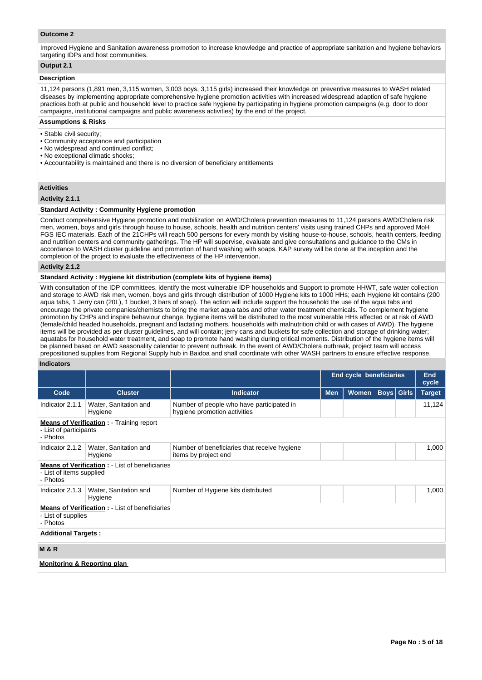## **Outcome 2**

Improved Hygiene and Sanitation awareness promotion to increase knowledge and practice of appropriate sanitation and hygiene behaviors targeting IDPs and host communities.

## **Output 2.1**

#### **Description**

11,124 persons (1,891 men, 3,115 women, 3,003 boys, 3,115 girls) increased their knowledge on preventive measures to WASH related diseases by implementing appropriate comprehensive hygiene promotion activities with increased widespread adaption of safe hygiene practices both at public and household level to practice safe hygiene by participating in hygiene promotion campaigns (e.g. door to door campaigns, institutional campaigns and public awareness activities) by the end of the project.

#### **Assumptions & Risks**

- Stable civil security;
- Community acceptance and participation
- No widespread and continued conflict;
- No exceptional climatic shocks;
- Accountability is maintained and there is no diversion of beneficiary entitlements

#### **Activities**

#### **Activity 2.1.1**

## **Standard Activity : Community Hygiene promotion**

Conduct comprehensive Hygiene promotion and mobilization on AWD/Cholera prevention measures to 11,124 persons AWD/Cholera risk men, women, boys and girls through house to house, schools, health and nutrition centers' visits using trained CHPs and approved MoH FGS IEC materials. Each of the 21CHPs will reach 500 persons for every month by visiting house-to-house, schools, health centers, feeding and nutrition centers and community gatherings. The HP will supervise, evaluate and give consultations and guidance to the CMs in accordance to WASH cluster guideline and promotion of hand washing with soaps. KAP survey will be done at the inception and the completion of the project to evaluate the effectiveness of the HP intervention.

#### **Activity 2.1.2**

#### **Standard Activity : Hygiene kit distribution (complete kits of hygiene items)**

With consultation of the IDP committees, identify the most vulnerable IDP households and Support to promote HHWT, safe water collection and storage to AWD risk men, women, boys and girls through distribution of 1000 Hygiene kits to 1000 HHs; each Hygiene kit contains (200 aqua tabs, 1 Jerry can (20L), 1 bucket, 3 bars of soap). The action will include support the household the use of the aqua tabs and encourage the private companies/chemists to bring the market aqua tabs and other water treatment chemicals. To complement hygiene promotion by CHPs and inspire behaviour change, hygiene items will be distributed to the most vulnerable HHs affected or at risk of AWD (female/child headed households, pregnant and lactating mothers, households with malnutrition child or with cases of AWD). The hygiene items will be provided as per cluster guidelines, and will contain; jerry cans and buckets for safe collection and storage of drinking water; aquatabs for household water treatment, and soap to promote hand washing during critical moments. Distribution of the hygiene items will be planned based on AWD seasonality calendar to prevent outbreak. In the event of AWD/Cholera outbreak, project team will access prepositioned supplies from Regional Supply hub in Baidoa and shall coordinate with other WASH partners to ensure effective response.

#### **Indicators**

|                                                                                         |                                                       |                                                                           | <b>End cycle beneficiaries</b> |              | <b>End</b><br>cycle |                   |               |  |  |  |  |
|-----------------------------------------------------------------------------------------|-------------------------------------------------------|---------------------------------------------------------------------------|--------------------------------|--------------|---------------------|-------------------|---------------|--|--|--|--|
| Code                                                                                    | <b>Cluster</b>                                        | <b>Indicator</b>                                                          | <b>Men</b>                     | <b>Women</b> |                     | <b>Boys</b> Girls | <b>Target</b> |  |  |  |  |
| Indicator 2.1.1                                                                         | Water, Sanitation and<br>Hygiene                      | Number of people who have participated in<br>hygiene promotion activities |                                |              |                     |                   | 11,124        |  |  |  |  |
| - List of participants<br>- Photos                                                      | <b>Means of Verification:</b> - Training report       |                                                                           |                                |              |                     |                   |               |  |  |  |  |
| Indicator 2.1.2                                                                         | Water, Sanitation and<br>Hygiene                      | Number of beneficiaries that receive hygiene<br>items by project end      |                                |              |                     |                   |               |  |  |  |  |
| - List of items supplied<br>- Photos                                                    | <b>Means of Verification:</b> - List of beneficiaries |                                                                           |                                |              |                     |                   |               |  |  |  |  |
| Indicator 2.1.3                                                                         | Water, Sanitation and<br>Hygiene                      | Number of Hygiene kits distributed                                        |                                |              |                     |                   | 1,000         |  |  |  |  |
| <b>Means of Verification:</b> - List of beneficiaries<br>- List of supplies<br>- Photos |                                                       |                                                                           |                                |              |                     |                   |               |  |  |  |  |
| <b>Additional Targets:</b>                                                              |                                                       |                                                                           |                                |              |                     |                   |               |  |  |  |  |
| <b>M&amp;R</b>                                                                          |                                                       |                                                                           |                                |              |                     |                   |               |  |  |  |  |
| <b>Monitoring &amp; Reporting plan</b>                                                  |                                                       |                                                                           |                                |              |                     |                   |               |  |  |  |  |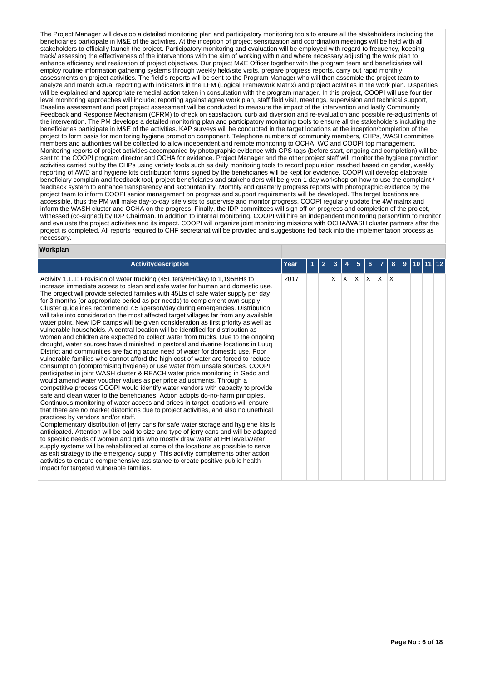The Project Manager will develop a detailed monitoring plan and participatory monitoring tools to ensure all the stakeholders including the beneficiaries participate in M&E of the activities. At the inception of project sensitization and coordination meetings will be held with all stakeholders to officially launch the project. Participatory monitoring and evaluation will be employed with regard to frequency, keeping track/ assessing the effectiveness of the interventions with the aim of working within and where necessary adjusting the work plan to enhance efficiency and realization of project objectives. Our project M&E Officer together with the program team and beneficiaries will employ routine information gathering systems through weekly field/site visits, prepare progress reports, carry out rapid monthly assessments on project activities. The field's reports will be sent to the Program Manager who will then assemble the project team to analyze and match actual reporting with indicators in the LFM (Logical Framework Matrix) and project activities in the work plan. Disparities will be explained and appropriate remedial action taken in consultation with the program manager. In this project, COOPI will use four tier level monitoring approaches will include; reporting against agree work plan, staff field visit, meetings, supervision and technical support, Baseline assessment and post project assessment will be conducted to measure the impact of the intervention and lastly Community Feedback and Response Mechanism (CFRM) to check on satisfaction, curb aid diversion and re-evaluation and possible re-adjustments of the intervention. The PM develops a detailed monitoring plan and participatory monitoring tools to ensure all the stakeholders including the beneficiaries participate in M&E of the activities. KAP surveys will be conducted in the target locations at the inception/completion of the project to form basis for monitoring hygiene promotion component. Telephone numbers of community members, CHPs, WASH committee members and authorities will be collected to allow independent and remote monitoring to OCHA, WC and COOPI top management. Monitoring reports of project activities accompanied by photographic evidence with GPS tags (before start, ongoing and completion) will be sent to the COOPI program director and OCHA for evidence. Project Manager and the other project staff will monitor the hygiene promotion activities carried out by the CHPs using variety tools such as daily monitoring tools to record population reached based on gender, weekly reporting of AWD and hygiene kits distribution forms signed by the beneficiaries will be kept for evidence. COOPI will develop elaborate beneficiary complain and feedback tool, project beneficiaries and stakeholders will be given 1 day workshop on how to use the complaint / feedback system to enhance transparency and accountability. Monthly and quarterly progress reports with photographic evidence by the project team to inform COOPI senior management on progress and support requirements will be developed. The target locations are accessible, thus the PM will make day-to-day site visits to supervise and monitor progress. COOPI regularly update the 4W matrix and inform the WASH cluster and OCHA on the progress. Finally, the IDP committees will sign off on progress and completion of the project, witnessed (co-signed) by IDP Chairman. In addition to internal monitoring, COOPI will hire an independent monitoring person/firm to monitor and evaluate the project activities and its impact. COOPI will organize joint monitoring missions with OCHA/WASH cluster partners after the project is completed. All reports required to CHF secretariat will be provided and suggestions fed back into the implementation process as necessary.

#### **Workplan**

| <b>Activitydescription</b>                                                                                                                                                                                                                                                                                                                                                                                                                                                                                                                                                                                                                                                                                                                                                                                                                                                                                                                                                                                                                                                                                                                                                                                                                                                                                                                                                                                                                                                                                                                                                                                                                                                                                                                                                                                                                                                                                                                                                                                                                                                                                                                                                                                                                         | Year |  |    |             | 5 |              |                         | 8 | 9 |  |  |
|----------------------------------------------------------------------------------------------------------------------------------------------------------------------------------------------------------------------------------------------------------------------------------------------------------------------------------------------------------------------------------------------------------------------------------------------------------------------------------------------------------------------------------------------------------------------------------------------------------------------------------------------------------------------------------------------------------------------------------------------------------------------------------------------------------------------------------------------------------------------------------------------------------------------------------------------------------------------------------------------------------------------------------------------------------------------------------------------------------------------------------------------------------------------------------------------------------------------------------------------------------------------------------------------------------------------------------------------------------------------------------------------------------------------------------------------------------------------------------------------------------------------------------------------------------------------------------------------------------------------------------------------------------------------------------------------------------------------------------------------------------------------------------------------------------------------------------------------------------------------------------------------------------------------------------------------------------------------------------------------------------------------------------------------------------------------------------------------------------------------------------------------------------------------------------------------------------------------------------------------------|------|--|----|-------------|---|--------------|-------------------------|---|---|--|--|
| Activity 1.1.1: Provision of water trucking (45Liters/HH/day) to 1,195HHs to<br>increase immediate access to clean and safe water for human and domestic use.<br>The project will provide selected families with 45Lts of safe water supply per day<br>for 3 months (or appropriate period as per needs) to complement own supply.<br>Cluster guidelines recommend 7.5 l/person/day during emergencies. Distribution<br>will take into consideration the most affected target villages far from any available<br>water point. New IDP camps will be given consideration as first priority as well as<br>vulnerable households. A central location will be identified for distribution as<br>women and children are expected to collect water from trucks. Due to the ongoing<br>drought, water sources have diminished in pastoral and riverine locations in Luuq<br>District and communities are facing acute need of water for domestic use. Poor<br>vulnerable families who cannot afford the high cost of water are forced to reduce<br>consumption (compromising hygiene) or use water from unsafe sources. COOPI<br>participates in joint WASH cluster & REACH water price monitoring in Gedo and<br>would amend water voucher values as per price adjustments. Through a<br>competitive process COOPI would identify water vendors with capacity to provide<br>safe and clean water to the beneficiaries. Action adopts do-no-harm principles.<br>Continuous monitoring of water access and prices in target locations will ensure<br>that there are no market distortions due to project activities, and also no unethical<br>practices by vendors and/or staff.<br>Complementary distribution of jerry cans for safe water storage and hygiene kits is<br>anticipated. Attention will be paid to size and type of jerry cans and will be adapted<br>to specific needs of women and girls who mostly draw water at HH level. Water<br>supply systems will be rehabilitated at some of the locations as possible to serve<br>as exit strategy to the emergency supply. This activity complements other action<br>activities to ensure comprehensive assistance to create positive public health<br>impact for targeted vulnerable families. | 2017 |  | X. | $ X $ $ X $ |   | $\mathsf{X}$ | $\mathsf{X} \mathsf{X}$ |   |   |  |  |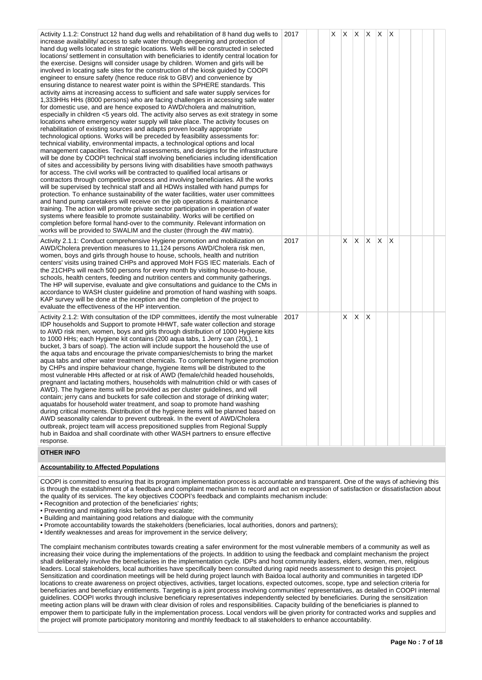| Activity 1.1.2: Construct 12 hand dug wells and rehabilitation of 8 hand dug wells to<br>increase availability/ access to safe water through deepening and protection of<br>hand dug wells located in strategic locations. Wells will be constructed in selected<br>locations/settlement in consultation with beneficiaries to identify central location for<br>the exercise. Designs will consider usage by children. Women and girls will be<br>involved in locating safe sites for the construction of the kiosk guided by COOPI<br>engineer to ensure safety (hence reduce risk to GBV) and convenience by<br>ensuring distance to nearest water point is within the SPHERE standards. This<br>activity aims at increasing access to sufficient and safe water supply services for<br>1,333HHs HHs (8000 persons) who are facing challenges in accessing safe water<br>for domestic use, and are hence exposed to AWD/cholera and malnutrition,<br>especially in children <5 years old. The activity also serves as exit strategy in some<br>locations where emergency water supply will take place. The activity focuses on<br>rehabilitation of existing sources and adapts proven locally appropriate<br>technological options. Works will be preceded by feasibility assessments for:<br>technical viability, environmental impacts, a technological options and local<br>management capacities. Technical assessments, and designs for the infrastructure<br>will be done by COOPI technical staff involving beneficiaries including identification<br>of sites and accessibility by persons living with disabilities have smooth pathways<br>for access. The civil works will be contracted to qualified local artisans or<br>contractors through competitive process and involving beneficiaries. All the works<br>will be supervised by technical staff and all HDWs installed with hand pumps for<br>protection. To enhance sustainability of the water facilities, water user committees<br>and hand pump caretakers will receive on the job operations & maintenance<br>training. The action will promote private sector participation in operation of water<br>systems where feasible to promote sustainability. Works will be certified on<br>completion before formal hand-over to the community. Relevant information on<br>works will be provided to SWALIM and the cluster (through the 4W matrix). | 2017 | X | <b>X</b> | $X$ $X$ $X$ |          |          | ΙX. |  |  |
|--------------------------------------------------------------------------------------------------------------------------------------------------------------------------------------------------------------------------------------------------------------------------------------------------------------------------------------------------------------------------------------------------------------------------------------------------------------------------------------------------------------------------------------------------------------------------------------------------------------------------------------------------------------------------------------------------------------------------------------------------------------------------------------------------------------------------------------------------------------------------------------------------------------------------------------------------------------------------------------------------------------------------------------------------------------------------------------------------------------------------------------------------------------------------------------------------------------------------------------------------------------------------------------------------------------------------------------------------------------------------------------------------------------------------------------------------------------------------------------------------------------------------------------------------------------------------------------------------------------------------------------------------------------------------------------------------------------------------------------------------------------------------------------------------------------------------------------------------------------------------------------------------------------------------------------------------------------------------------------------------------------------------------------------------------------------------------------------------------------------------------------------------------------------------------------------------------------------------------------------------------------------------------------------------------------------------------------------------------------------------------------------------------------------------|------|---|----------|-------------|----------|----------|-----|--|--|
| Activity 2.1.1: Conduct comprehensive Hygiene promotion and mobilization on<br>AWD/Cholera prevention measures to 11,124 persons AWD/Cholera risk men,<br>women, boys and girls through house to house, schools, health and nutrition<br>centers' visits using trained CHPs and approved MoH FGS IEC materials. Each of<br>the 21 CHPs will reach 500 persons for every month by visiting house-to-house,<br>schools, health centers, feeding and nutrition centers and community gatherings.<br>The HP will supervise, evaluate and give consultations and guidance to the CMs in<br>accordance to WASH cluster guideline and promotion of hand washing with soaps.<br>KAP survey will be done at the inception and the completion of the project to<br>evaluate the effectiveness of the HP intervention.                                                                                                                                                                                                                                                                                                                                                                                                                                                                                                                                                                                                                                                                                                                                                                                                                                                                                                                                                                                                                                                                                                                                                                                                                                                                                                                                                                                                                                                                                                                                                                                                              | 2017 |   | X        | X           | $\times$ | <b>X</b> | X   |  |  |
| Activity 2.1.2: With consultation of the IDP committees, identify the most vulnerable<br>IDP households and Support to promote HHWT, safe water collection and storage<br>to AWD risk men, women, boys and girls through distribution of 1000 Hygiene kits<br>to 1000 HHs; each Hygiene kit contains (200 agua tabs, 1 Jerry can (20L), 1<br>bucket, 3 bars of soap). The action will include support the household the use of<br>the aqua tabs and encourage the private companies/chemists to bring the market<br>agua tabs and other water treatment chemicals. To complement hygiene promotion<br>by CHPs and inspire behaviour change, hygiene items will be distributed to the<br>most vulnerable HHs affected or at risk of AWD (female/child headed households,<br>pregnant and lactating mothers, households with malnutrition child or with cases of<br>AWD). The hygiene items will be provided as per cluster guidelines, and will<br>contain; jerry cans and buckets for safe collection and storage of drinking water;<br>aquatabs for household water treatment, and soap to promote hand washing<br>during critical moments. Distribution of the hygiene items will be planned based on<br>AWD seasonality calendar to prevent outbreak. In the event of AWD/Cholera<br>outbreak, project team will access prepositioned supplies from Regional Supply<br>hub in Baidoa and shall coordinate with other WASH partners to ensure effective<br>response.                                                                                                                                                                                                                                                                                                                                                                                                                                                                                                                                                                                                                                                                                                                                                                                                                                                                                                                                                   | 2017 |   | X        | $\times$    | X        |          |     |  |  |

## **OTHER INFO**

## **Accountability to Affected Populations**

COOPI is committed to ensuring that its program implementation process is accountable and transparent. One of the ways of achieving this is through the establishment of a feedback and complaint mechanism to record and act on expression of satisfaction or dissatisfaction about the quality of its services. The key objectives COOPI's feedback and complaints mechanism include:

• Recognition and protection of the beneficiaries' rights;

• Preventing and mitigating risks before they escalate;

• Building and maintaining good relations and dialogue with the community

• Promote accountability towards the stakeholders (beneficiaries, local authorities, donors and partners);

• Identify weaknesses and areas for improvement in the service delivery;

The complaint mechanism contributes towards creating a safer environment for the most vulnerable members of a community as well as increasing their voice during the implementations of the projects. In addition to using the feedback and complaint mechanism the project shall deliberately involve the beneficiaries in the implementation cycle. IDPs and host community leaders, elders, women, men, religious leaders. Local stakeholders, local authorities have specifically been consulted during rapid needs assessment to design this project. Sensitization and coordination meetings will be held during project launch with Baidoa local authority and communities in targeted IDP locations to create awareness on project objectives, activities, target locations, expected outcomes, scope, type and selection criteria for beneficiaries and beneficiary entitlements. Targeting is a joint process involving communities' representatives, as detailed in COOPI internal guidelines. COOPI works through inclusive beneficiary representatives independently selected by beneficiaries. During the sensitization meeting action plans will be drawn with clear division of roles and responsibilities. Capacity building of the beneficiaries is planned to empower them to participate fully in the implementation process. Local vendors will be given priority for contracted works and supplies and the project will promote participatory monitoring and monthly feedback to all stakeholders to enhance accountability.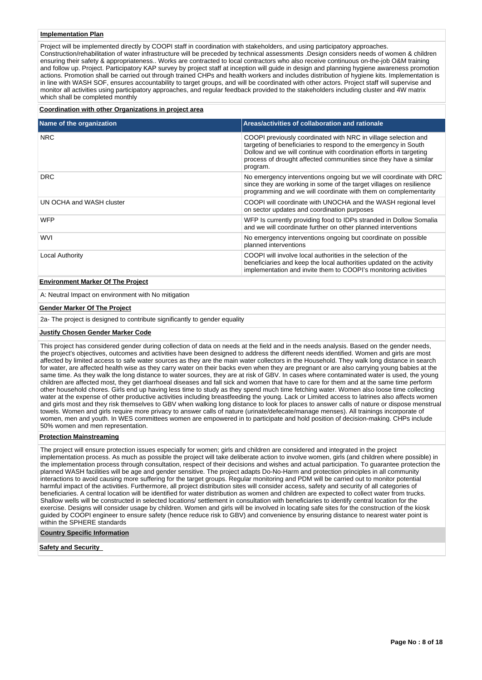#### **Implementation Plan**

Project will be implemented directly by COOPI staff in coordination with stakeholders, and using participatory approaches. Construction/rehabilitation of water infrastructure will be preceded by technical assessments .Design considers needs of women & children ensuring their safety & appropriateness.. Works are contracted to local contractors who also receive continuous on-the-job O&M training and follow up. Project. Participatory KAP survey by project staff at inception will guide in design and planning hygiene awareness promotion actions. Promotion shall be carried out through trained CHPs and health workers and includes distribution of hygiene kits. Implementation is in line with WASH SOF, ensures accountability to target groups, and will be coordinated with other actors. Project staff will supervise and monitor all activities using participatory approaches, and regular feedback provided to the stakeholders including cluster and 4W matrix which shall be completed monthly

#### **Coordination with other Organizations in project area**

| Areas/activities of collaboration and rationale                                                                                                                                                                                                                                          |
|------------------------------------------------------------------------------------------------------------------------------------------------------------------------------------------------------------------------------------------------------------------------------------------|
| COOPI previously coordinated with NRC in village selection and<br>targeting of beneficiaries to respond to the emergency in South<br>Dollow and we will continue with coordination efforts in targeting<br>process of drought affected communities since they have a similar<br>program. |
| No emergency interventions ongoing but we will coordinate with DRC<br>since they are working in some of the target villages on resilience<br>programming and we will coordinate with them on complementarity                                                                             |
| COOPI will coordinate with UNOCHA and the WASH regional level<br>on sector updates and coordination purposes                                                                                                                                                                             |
| WFP Is currently providing food to IDPs stranded in Dollow Somalia<br>and we will coordinate further on other planned interventions                                                                                                                                                      |
| No emergency interventions ongoing but coordinate on possible<br>planned interventions                                                                                                                                                                                                   |
| COOPI will involve local authorities in the selection of the<br>beneficiaries and keep the local authorities updated on the activity<br>implementation and invite them to COOPI's monitoring activities                                                                                  |
|                                                                                                                                                                                                                                                                                          |

## **Environment Marker Of The Project**

A: Neutral Impact on environment with No mitigation

#### **Gender Marker Of The Project**

2a- The project is designed to contribute significantly to gender equality

## **Justify Chosen Gender Marker Code**

This project has considered gender during collection of data on needs at the field and in the needs analysis. Based on the gender needs, the project's objectives, outcomes and activities have been designed to address the different needs identified. Women and girls are most affected by limited access to safe water sources as they are the main water collectors in the Household. They walk long distance in search for water, are affected health wise as they carry water on their backs even when they are pregnant or are also carrying young babies at the same time. As they walk the long distance to water sources, they are at risk of GBV. In cases where contaminated water is used, the young children are affected most, they get diarrhoeal diseases and fall sick and women that have to care for them and at the same time perform other household chores. Girls end up having less time to study as they spend much time fetching water. Women also loose time collecting water at the expense of other productive activities including breastfeeding the young. Lack or Limited access to latrines also affects women and girls most and they risk themselves to GBV when walking long distance to look for places to answer calls of nature or dispose menstrual towels. Women and girls require more privacy to answer calls of nature (urinate/defecate/manage menses). All trainings incorporate of women, men and youth. In WES committees women are empowered in to participate and hold position of decision-making. CHPs include 50% women and men representation.

#### **Protection Mainstreaming**

The project will ensure protection issues especially for women; girls and children are considered and integrated in the project implementation process. As much as possible the project will take deliberate action to involve women, girls (and children where possible) in the implementation process through consultation, respect of their decisions and wishes and actual participation. To guarantee protection the planned WASH facilities will be age and gender sensitive. The project adapts Do-No-Harm and protection principles in all community interactions to avoid causing more suffering for the target groups. Regular monitoring and PDM will be carried out to monitor potential harmful impact of the activities. Furthermore, all project distribution sites will consider access, safety and security of all categories of beneficiaries. A central location will be identified for water distribution as women and children are expected to collect water from trucks. Shallow wells will be constructed in selected locations/ settlement in consultation with beneficiaries to identify central location for the exercise. Designs will consider usage by children. Women and girls will be involved in locating safe sites for the construction of the kiosk guided by COOPI engineer to ensure safety (hence reduce risk to GBV) and convenience by ensuring distance to nearest water point is within the SPHERE standards

#### **Country Specific Information**

**Safety and Security**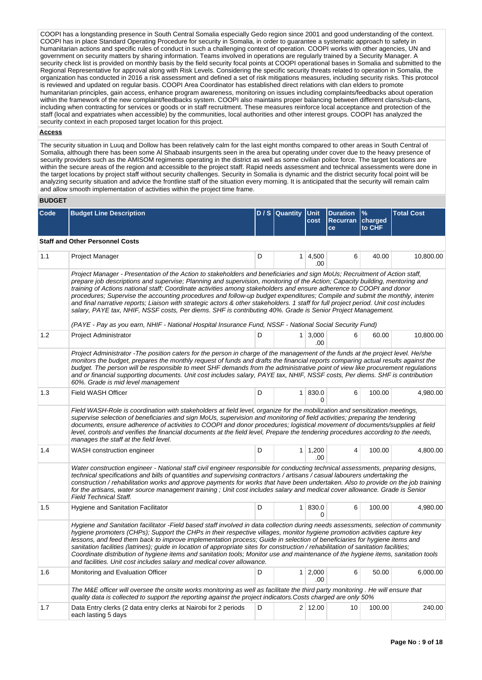COOPI has a longstanding presence in South Central Somalia especially Gedo region since 2001 and good understanding of the context. COOPI has in place Standard Operating Procedure for security in Somalia, in order to guarantee a systematic approach to safety in humanitarian actions and specific rules of conduct in such a challenging context of operation. COOPI works with other agencies, UN and government on security matters by sharing information. Teams involved in operations are regularly trained by a Security Manager. A security check list is provided on monthly basis by the field security focal points at COOPI operational bases in Somalia and submitted to the Regional Representative for approval along with Risk Levels. Considering the specific security threats related to operation in Somalia, the organization has conducted in 2016 a risk assessment and defined a set of risk mitigations measures, including security risks. This protocol is reviewed and updated on regular basis. COOPI Area Coordinator has established direct relations with clan elders to promote humanitarian principles, gain access, enhance program awareness, monitoring on issues including complaints/feedbacks about operation within the framework of the new complaint/feedbacks system. COOPI also maintains proper balancing between different clans/sub-clans, including when contracting for services or goods or in staff recruitment. These measures reinforce local acceptance and protection of the staff (local and expatriates when accessible) by the communities, local authorities and other interest groups. COOPI has analyzed the security context in each proposed target location for this project.

#### **Access**

The security situation in Luuq and Dollow has been relatively calm for the last eight months compared to other areas in South Central of Somalia, although there has been some Al Shabaab insurgents seen in the area but operating under cover due to the heavy presence of security providers such as the AMISOM regiments operating in the district as well as some civilian police force. The target locations are within the secure areas of the region and accessible to the project staff. Rapid needs assessment and technical assessments were done in the target locations by project staff without security challenges. Security in Somalia is dynamic and the district security focal point will be analyzing security situation and advice the frontline staff of the situation every morning. It is anticipated that the security will remain calm and allow smooth implementation of activities within the project time frame.

#### **BUDGET**

| Code | <b>Budget Line Description</b>                                                                                                                                                                                                                                                                                                                                                                                                                                                                                                                                                                                                                                                                                                                                                                                                                                                     |   | D / S Quantity Unit | cost                   | <b>Duration</b><br>Recurran<br>ce | %<br>charged<br>to CHF | <b>Total Cost</b> |  |  |  |  |
|------|------------------------------------------------------------------------------------------------------------------------------------------------------------------------------------------------------------------------------------------------------------------------------------------------------------------------------------------------------------------------------------------------------------------------------------------------------------------------------------------------------------------------------------------------------------------------------------------------------------------------------------------------------------------------------------------------------------------------------------------------------------------------------------------------------------------------------------------------------------------------------------|---|---------------------|------------------------|-----------------------------------|------------------------|-------------------|--|--|--|--|
|      | <b>Staff and Other Personnel Costs</b>                                                                                                                                                                                                                                                                                                                                                                                                                                                                                                                                                                                                                                                                                                                                                                                                                                             |   |                     |                        |                                   |                        |                   |  |  |  |  |
| 1.1  | <b>Project Manager</b>                                                                                                                                                                                                                                                                                                                                                                                                                                                                                                                                                                                                                                                                                                                                                                                                                                                             | D |                     | $1 \mid 4,500$<br>.00  | 6                                 | 40.00                  | 10,800.00         |  |  |  |  |
|      | Project Manager - Presentation of the Action to stakeholders and beneficiaries and sign MoUs; Recruitment of Action staff,<br>prepare job descriptions and supervise; Planning and supervision, monitoring of the Action; Capacity building, mentoring and<br>training of Actions national staff; Coordinate activities among stakeholders and ensure adherence to COOPI and donor<br>procedures; Supervise the accounting procedures and follow-up budget expenditures; Compile and submit the monthly, interim<br>and final narrative reports; Liaison with strategic actors & other stakeholders. 1 staff for full project period. Unit cost includes<br>salary, PAYE tax, NHIF, NSSF costs, Per diems. SHF is contributing 40%. Grade is Senior Project Management.<br>(PAYE - Pay as you earn, NHIF - National Hospital Insurance Fund, NSSF - National Social Security Fund) |   |                     |                        |                                   |                        |                   |  |  |  |  |
| 1.2  | Project Administrator                                                                                                                                                                                                                                                                                                                                                                                                                                                                                                                                                                                                                                                                                                                                                                                                                                                              | D |                     | $1 \mid 3,000$<br>.00  | 6                                 | 60.00                  | 10,800.00         |  |  |  |  |
|      | Project Administrator - The position caters for the person in charge of the management of the funds at the project level. He/she<br>monitors the budget, prepares the monthly request of funds and drafts the financial reports comparing actual results against the<br>budget. The person will be responsible to meet SHF demands from the administrative point of view like procurement regulations<br>and or financial supporting documents. Unit cost includes salary, PAYE tax, NHIF, NSSF costs, Per diems. SHF is contribution<br>60%. Grade is mid level management                                                                                                                                                                                                                                                                                                        |   |                     |                        |                                   |                        |                   |  |  |  |  |
| 1.3  | Field WASH Officer                                                                                                                                                                                                                                                                                                                                                                                                                                                                                                                                                                                                                                                                                                                                                                                                                                                                 | D |                     | 1   830.0<br>0         | 6                                 | 100.00                 | 4,980.00          |  |  |  |  |
|      | Field WASH-Role is coordination with stakeholders at field level, organize for the mobilization and sensitization meetings,<br>supervise selection of beneficiaries and sign MoUs, supervision and monitoring of field activities; preparing the tendering<br>documents, ensure adherence of activities to COOPI and donor procedures; logistical movement of documents/supplies at field<br>level, controls and verifies the financial documents at the field level, Prepare the tendering procedures according to the needs,<br>manages the staff at the field level.                                                                                                                                                                                                                                                                                                            |   |                     |                        |                                   |                        |                   |  |  |  |  |
| 1.4  | WASH construction engineer                                                                                                                                                                                                                                                                                                                                                                                                                                                                                                                                                                                                                                                                                                                                                                                                                                                         | D |                     | $1 \mid 1,200$<br>.00. | $\overline{4}$                    | 100.00                 | 4.800.00          |  |  |  |  |
|      | Water construction engineer - National staff civil engineer responsible for conducting technical assessments, preparing designs,<br>technical specifications and bills of quantities and supervising contractors / artisans / casual labourers undertaking the<br>construction / rehabilitation works and approve payments for works that have been undertaken. Also to provide on the job training<br>for the artisans, water source management training; Unit cost includes salary and medical cover allowance. Grade is Senior<br><b>Field Technical Staff.</b>                                                                                                                                                                                                                                                                                                                 |   |                     |                        |                                   |                        |                   |  |  |  |  |
| 1.5  | Hygiene and Sanitation Facilitator                                                                                                                                                                                                                                                                                                                                                                                                                                                                                                                                                                                                                                                                                                                                                                                                                                                 | D |                     | 1   830.0<br>0         | 6                                 | 100.00                 | 4,980.00          |  |  |  |  |
|      | Hygiene and Sanitation facilitator -Field based staff involved in data collection during needs assessments, selection of community<br>hygiene promoters (CHPs); Support the CHPs in their respective villages, monitor hygiene promotion activities capture key<br>lessons, and feed them back to improve implementation process; Guide in selection of beneficiaries for hygiene items and<br>sanitation facilities (latrines); guide in location of appropriate sites for construction / rehabilitation of sanitation facilities;<br>Coordinate distribution of hygiene items and sanitation tools; Monitor use and maintenance of the hygiene items, sanitation tools<br>and facilities. Unit cost includes salary and medical cover allowance.                                                                                                                                 |   |                     |                        |                                   |                        |                   |  |  |  |  |
| 1.6  | Monitoring and Evaluation Officer                                                                                                                                                                                                                                                                                                                                                                                                                                                                                                                                                                                                                                                                                                                                                                                                                                                  | D |                     | $1 \mid 2,000$<br>.00  | 6                                 | 50.00                  | 6,000.00          |  |  |  |  |
|      | The M&E officer will oversee the onsite works monitoring as well as facilitate the third party monitoring. He will ensure that<br>quality data is collected to support the reporting against the project indicators. Costs charged are only 50%                                                                                                                                                                                                                                                                                                                                                                                                                                                                                                                                                                                                                                    |   |                     |                        |                                   |                        |                   |  |  |  |  |
| 1.7  | Data Entry clerks (2 data entry clerks at Nairobi for 2 periods<br>each lasting 5 days                                                                                                                                                                                                                                                                                                                                                                                                                                                                                                                                                                                                                                                                                                                                                                                             | D |                     | $2 \mid 12.00$         | 10                                | 100.00                 | 240.00            |  |  |  |  |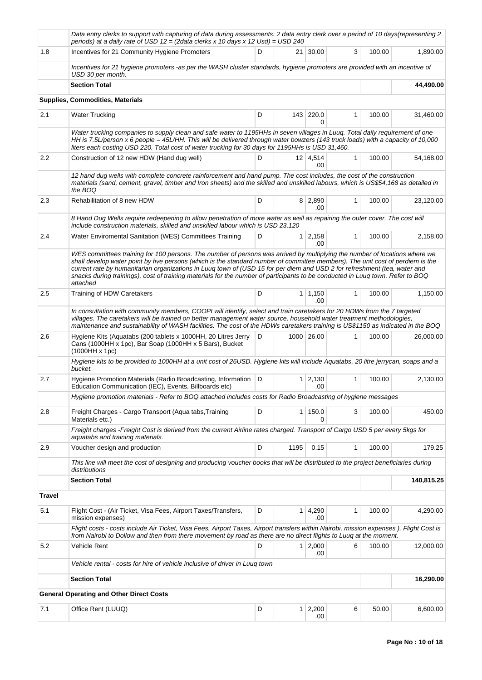|        | Data entry clerks to support with capturing of data during assessments. 2 data entry clerk over a period of 10 days(representing 2<br>periods) at a daily rate of USD 12 = (2data clerks x 10 days x 12 Usd) = USD 240                                                                                                                                                                                                                                                                                                                  |   |      |                        |              |        |            |
|--------|-----------------------------------------------------------------------------------------------------------------------------------------------------------------------------------------------------------------------------------------------------------------------------------------------------------------------------------------------------------------------------------------------------------------------------------------------------------------------------------------------------------------------------------------|---|------|------------------------|--------------|--------|------------|
| 1.8    | Incentives for 21 Community Hygiene Promoters                                                                                                                                                                                                                                                                                                                                                                                                                                                                                           | D |      | 21   30.00             | 3            | 100.00 | 1,890.00   |
|        | Incentives for 21 hygiene promoters -as per the WASH cluster standards, hygiene promoters are provided with an incentive of<br>USD 30 per month.                                                                                                                                                                                                                                                                                                                                                                                        |   |      |                        |              |        |            |
|        | <b>Section Total</b>                                                                                                                                                                                                                                                                                                                                                                                                                                                                                                                    |   |      |                        |              |        | 44,490.00  |
|        | <b>Supplies, Commodities, Materials</b>                                                                                                                                                                                                                                                                                                                                                                                                                                                                                                 |   |      |                        |              |        |            |
| 2.1    | <b>Water Trucking</b>                                                                                                                                                                                                                                                                                                                                                                                                                                                                                                                   | D |      | 143 220.0<br>0         | 1            | 100.00 | 31,460.00  |
|        | Water trucking companies to supply clean and safe water to 1195HHs in seven villages in Luug. Total daily requirement of one<br>HH is 7.5L/person x 6 people = 45L/HH. This will be delivered through water bowzers (143 truck loads) with a capacity of 10,000<br>liters each costing USD 220. Total cost of water trucking for 30 days for 1195HHs is USD 31,460.                                                                                                                                                                     |   |      |                        |              |        |            |
| 2.2    | Construction of 12 new HDW (Hand dug well)                                                                                                                                                                                                                                                                                                                                                                                                                                                                                              | D |      | $12 \mid 4,514$<br>.00 | $\mathbf{1}$ | 100.00 | 54,168.00  |
|        | 12 hand dug wells with complete concrete rainforcement and hand pump. The cost includes, the cost of the construction<br>materials (sand, cement, gravel, timber and Iron sheets) and the skilled and unskilled labours, which is US\$54,168 as detailed in<br>the BOQ                                                                                                                                                                                                                                                                  |   |      |                        |              |        |            |
| 2.3    | Rehabilitation of 8 new HDW                                                                                                                                                                                                                                                                                                                                                                                                                                                                                                             | D |      | 8 2,890<br>.00         | 1            | 100.00 | 23,120.00  |
|        | 8 Hand Dug Wells require redeepening to allow penetration of more water as well as repairing the outer cover. The cost will<br>include construction materials, skilled and unskilled labour which is USD 23,120                                                                                                                                                                                                                                                                                                                         |   |      |                        |              |        |            |
| 2.4    | Water Enviromental Sanitation (WES) Committees Training                                                                                                                                                                                                                                                                                                                                                                                                                                                                                 | D |      | $1 \quad 2,158$<br>.00 | $\mathbf{1}$ | 100.00 | 2,158.00   |
|        | WES committees training for 100 persons. The number of persons was arrived by multiplying the number of locations where we<br>shall develop water point by five persons (which is the standard number of committee members). The unit cost of perdiem is the<br>current rate by humanitarian organizations in Luug town of (USD 15 for per diem and USD 2 for refreshment (tea, water and<br>snacks during trainings), cost of training materials for the number of participants to be conducted in Luuq town. Refer to BOQ<br>attached |   |      |                        |              |        |            |
| 2.5    | Training of HDW Caretakers                                                                                                                                                                                                                                                                                                                                                                                                                                                                                                              | D |      | $1 \mid 1,150$<br>.00  | 1            | 100.00 | 1,150.00   |
|        | In consultation with community members, COOPI will identify, select and train caretakers for 20 HDWs from the 7 targeted<br>villages. The caretakers will be trained on better management water source, household water treatment methodologies,<br>maintenance and sustainability of WASH facilities. The cost of the HDWs caretakers training is US\$1150 as indicated in the BOQ                                                                                                                                                     |   |      |                        |              |        |            |
| 2.6    | Hygiene Kits (Aquatabs (200 tablets x 1000HH, 20 Litres Jerry<br>Cans (1000HH x 1pc), Bar Soap (1000HH x 5 Bars), Bucket<br>$(1000HH \times 1pc)$                                                                                                                                                                                                                                                                                                                                                                                       | D |      | 1000 26.00             | 1            | 100.00 | 26,000.00  |
|        | Hygiene kits to be provided to 1000HH at a unit cost of 26USD. Hygiene kits will include Aguatabs, 20 litre jerrycan, soaps and a<br>bucket.                                                                                                                                                                                                                                                                                                                                                                                            |   |      |                        |              |        |            |
| 2.7    | Hygiene Promotion Materials (Radio Broadcasting, Information<br>Education Communication (IEC), Events, Billboards etc)                                                                                                                                                                                                                                                                                                                                                                                                                  | D |      | $1 \quad 2,130$<br>.00 | 1            | 100.00 | 2,130.00   |
|        | Hygiene promotion materials - Refer to BOQ attached includes costs for Radio Broadcasting of hygiene messages                                                                                                                                                                                                                                                                                                                                                                                                                           |   |      |                        |              |        |            |
| 2.8    | Freight Charges - Cargo Transport (Aqua tabs, Training<br>Materials etc.)                                                                                                                                                                                                                                                                                                                                                                                                                                                               | D |      | 1   150.0<br>0         | 3            | 100.00 | 450.00     |
|        | Freight charges -Freight Cost is derived from the current Airline rates charged. Transport of Cargo USD 5 per every 5kgs for<br>aquatabs and training materials.                                                                                                                                                                                                                                                                                                                                                                        |   |      |                        |              |        |            |
| 2.9    | Voucher design and production                                                                                                                                                                                                                                                                                                                                                                                                                                                                                                           | D | 1195 | 0.15                   | 1            | 100.00 | 179.25     |
|        | This line will meet the cost of designing and producing voucher books that will be distributed to the project beneficiaries during<br>distributions                                                                                                                                                                                                                                                                                                                                                                                     |   |      |                        |              |        |            |
|        | <b>Section Total</b>                                                                                                                                                                                                                                                                                                                                                                                                                                                                                                                    |   |      |                        |              |        | 140,815.25 |
| Travel |                                                                                                                                                                                                                                                                                                                                                                                                                                                                                                                                         |   |      |                        |              |        |            |
| 5.1    | Flight Cost - (Air Ticket, Visa Fees, Airport Taxes/Transfers,<br>mission expenses)                                                                                                                                                                                                                                                                                                                                                                                                                                                     | D |      | $1 \mid 4,290$<br>.00  | 1            | 100.00 | 4,290.00   |
|        | Flight costs - costs include Air Ticket, Visa Fees, Airport Taxes, Airport transfers within Nairobi, mission expenses). Flight Cost is<br>from Nairobi to Dollow and then from there movement by road as there are no direct flights to Luug at the moment.                                                                                                                                                                                                                                                                             |   |      |                        |              |        |            |
| 5.2    | Vehicle Rent                                                                                                                                                                                                                                                                                                                                                                                                                                                                                                                            | D |      | $1 \ 2,000$<br>.00     | 6            | 100.00 | 12,000.00  |
|        | Vehicle rental - costs for hire of vehicle inclusive of driver in Luuq town                                                                                                                                                                                                                                                                                                                                                                                                                                                             |   |      |                        |              |        |            |
|        | <b>Section Total</b>                                                                                                                                                                                                                                                                                                                                                                                                                                                                                                                    |   |      |                        |              |        | 16,290.00  |
|        | <b>General Operating and Other Direct Costs</b>                                                                                                                                                                                                                                                                                                                                                                                                                                                                                         |   |      |                        |              |        |            |
| 7.1    | Office Rent (LUUQ)                                                                                                                                                                                                                                                                                                                                                                                                                                                                                                                      | D |      | $1 \quad 2,200$<br>.00 | 6            | 50.00  | 6,600.00   |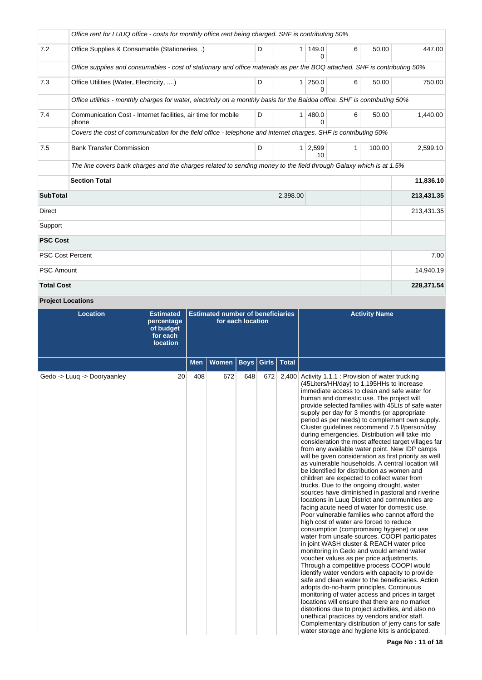|                         | Office rent for LUUQ office - costs for monthly office rent being charged. SHF is contributing 50%                          |   |              |              |              |        |            |
|-------------------------|-----------------------------------------------------------------------------------------------------------------------------|---|--------------|--------------|--------------|--------|------------|
| 7.2                     | Office Supplies & Consumable (Stationeries, .)                                                                              | D | 1            | 149.0<br>0   | 6            | 50.00  | 447.00     |
|                         | Office supplies and consumables - cost of stationary and office materials as per the BOQ attached. SHF is contributing 50%  |   |              |              |              |        |            |
| 7.3                     | Office Utilities (Water, Electricity, )                                                                                     | D | $\mathbf{1}$ | 250.0<br>0   | 6            | 50.00  | 750.00     |
|                         | Office utilities - monthly charges for water, electricity on a monthly basis for the Baidoa office. SHF is contributing 50% |   |              |              |              |        |            |
| 7.4                     | Communication Cost - Internet facilities, air time for mobile<br>phone                                                      | D | 1            | 480.0<br>0   | 6            | 50.00  | 1.440.00   |
|                         | Covers the cost of communication for the field office - telephone and internet charges. SHF is contributing 50%             |   |              |              |              |        |            |
| 7.5                     | <b>Bank Transfer Commission</b>                                                                                             | D | $\mathbf{1}$ | 2,599<br>.10 | $\mathbf{1}$ | 100.00 | 2,599.10   |
|                         | The line covers bank charges and the charges related to sending money to the field through Galaxy which is at 1.5%          |   |              |              |              |        |            |
|                         | <b>Section Total</b>                                                                                                        |   |              |              |              |        | 11,836.10  |
| <b>SubTotal</b>         |                                                                                                                             |   | 2,398.00     |              |              |        | 213,431.35 |
| Direct                  |                                                                                                                             |   |              |              |              |        | 213,431.35 |
| Support                 |                                                                                                                             |   |              |              |              |        |            |
| <b>PSC Cost</b>         |                                                                                                                             |   |              |              |              |        |            |
| <b>PSC Cost Percent</b> |                                                                                                                             |   |              |              |              |        | 7.00       |
| <b>PSC Amount</b>       |                                                                                                                             |   |              |              |              |        | 14,940.19  |
| <b>Total Cost</b>       |                                                                                                                             |   |              |              |              |        | 228,371.54 |

# **Project Locations**

| <b>Location</b>             | <b>Estimated</b><br>percentage<br>of budget<br>for each<br><b>location</b> | <b>Estimated number of beneficiaries</b><br>for each location |              |             |       |              | <b>Activity Name</b>                                                                                                                                                                                                                                                                                                                                                                                                                                                                                                                                                                                                                                                                                                                                                                                                                                                                                                                                                                                                                                                                                                                                                                                                                                                                                                                                                                                                                                                                                                                                                                                                                                                                                                                                                                                                       |
|-----------------------------|----------------------------------------------------------------------------|---------------------------------------------------------------|--------------|-------------|-------|--------------|----------------------------------------------------------------------------------------------------------------------------------------------------------------------------------------------------------------------------------------------------------------------------------------------------------------------------------------------------------------------------------------------------------------------------------------------------------------------------------------------------------------------------------------------------------------------------------------------------------------------------------------------------------------------------------------------------------------------------------------------------------------------------------------------------------------------------------------------------------------------------------------------------------------------------------------------------------------------------------------------------------------------------------------------------------------------------------------------------------------------------------------------------------------------------------------------------------------------------------------------------------------------------------------------------------------------------------------------------------------------------------------------------------------------------------------------------------------------------------------------------------------------------------------------------------------------------------------------------------------------------------------------------------------------------------------------------------------------------------------------------------------------------------------------------------------------------|
|                             |                                                                            | <b>Men</b>                                                    | <b>Women</b> | <b>Boys</b> | Girls | <b>Total</b> |                                                                                                                                                                                                                                                                                                                                                                                                                                                                                                                                                                                                                                                                                                                                                                                                                                                                                                                                                                                                                                                                                                                                                                                                                                                                                                                                                                                                                                                                                                                                                                                                                                                                                                                                                                                                                            |
| Gedo -> Luuq -> Dooryaanley | 20                                                                         | 408                                                           | 672          | 648         | 672   | 2,400        | Activity 1.1.1 : Provision of water trucking<br>(45Liters/HH/day) to 1,195HHs to increase<br>immediate access to clean and safe water for<br>human and domestic use. The project will<br>provide selected families with 45Lts of safe water<br>supply per day for 3 months (or appropriate<br>period as per needs) to complement own supply.<br>Cluster guidelines recommend 7.5 l/person/day<br>during emergencies. Distribution will take into<br>consideration the most affected target villages far<br>from any available water point. New IDP camps<br>will be given consideration as first priority as well<br>as vulnerable households. A central location will<br>be identified for distribution as women and<br>children are expected to collect water from<br>trucks. Due to the ongoing drought, water<br>sources have diminished in pastoral and riverine<br>locations in Luuq District and communities are<br>facing acute need of water for domestic use.<br>Poor vulnerable families who cannot afford the<br>high cost of water are forced to reduce<br>consumption (compromising hygiene) or use<br>water from unsafe sources. COOPI participates<br>in joint WASH cluster & REACH water price<br>monitoring in Gedo and would amend water<br>voucher values as per price adjustments.<br>Through a competitive process COOPI would<br>identify water vendors with capacity to provide<br>safe and clean water to the beneficiaries. Action<br>adopts do-no-harm principles. Continuous<br>monitoring of water access and prices in target<br>locations will ensure that there are no market<br>distortions due to project activities, and also no<br>unethical practices by vendors and/or staff.<br>Complementary distribution of jerry cans for safe<br>water storage and hygiene kits is anticipated. |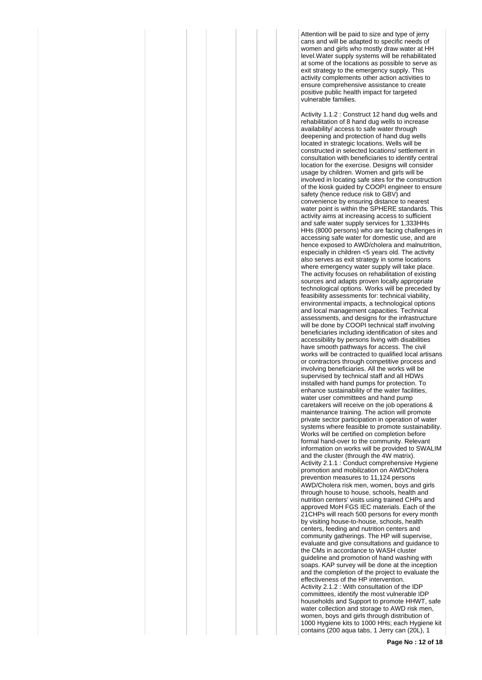Attention will be paid to size and type of jerry cans and will be adapted to specific needs of women and girls who mostly draw water at HH level.Water supply systems will be rehabilitated at some of the locations as possible to serve as exit strategy to the emergency supply. This activity complements other action activities to ensure comprehensive assistance to create positive public health impact for targeted vulnerable families.

Activity 1.1.2 : Construct 12 hand dug wells and rehabilitation of 8 hand dug wells to increase availability/ access to safe water through deepening and protection of hand dug wells located in strategic locations. Wells will be constructed in selected locations/ settlement in consultation with beneficiaries to identify central location for the exercise. Designs will consider usage by children. Women and girls will be involved in locating safe sites for the construction of the kiosk guided by COOPI engineer to ensure safety (hence reduce risk to GBV) and convenience by ensuring distance to nearest water point is within the SPHERE standards. This activity aims at increasing access to sufficient and safe water supply services for 1,333HHs HHs (8000 persons) who are facing challenges in accessing safe water for domestic use, and are hence exposed to AWD/cholera and malnutrition. especially in children <5 years old. The activity also serves as exit strategy in some locations where emergency water supply will take place. The activity focuses on rehabilitation of existing sources and adapts proven locally appropriate technological options. Works will be preceded by feasibility assessments for: technical viability, environmental impacts, a technological options and local management capacities. Technical assessments, and designs for the infrastructure will be done by COOPI technical staff involving beneficiaries including identification of sites and accessibility by persons living with disabilities have smooth pathways for access. The civil works will be contracted to qualified local artisans or contractors through competitive process and involving beneficiaries. All the works will be supervised by technical staff and all HDWs installed with hand pumps for protection. To enhance sustainability of the water facilities, water user committees and hand pump caretakers will receive on the job operations & maintenance training. The action will promote private sector participation in operation of water systems where feasible to promote sustainability. Works will be certified on completion before formal hand-over to the community. Relevant information on works will be provided to SWALIM and the cluster (through the 4W matrix). Activity 2.1.1 : Conduct comprehensive Hygiene promotion and mobilization on AWD/Cholera prevention measures to 11,124 persons AWD/Cholera risk men, women, boys and girls through house to house, schools, health and nutrition centers' visits using trained CHPs and approved MoH FGS IEC materials. Each of the 21CHPs will reach 500 persons for every month by visiting house-to-house, schools, health centers, feeding and nutrition centers and community gatherings. The HP will supervise, evaluate and give consultations and guidance to the CMs in accordance to WASH cluster guideline and promotion of hand washing with soaps. KAP survey will be done at the inception and the completion of the project to evaluate the effectiveness of the HP intervention. Activity 2.1.2 : With consultation of the IDP committees, identify the most vulnerable IDP households and Support to promote HHWT, safe water collection and storage to AWD risk men, women, boys and girls through distribution of 1000 Hygiene kits to 1000 HHs; each Hygiene kit contains (200 aqua tabs, 1 Jerry can (20L), 1

**Page No : 12 of 18**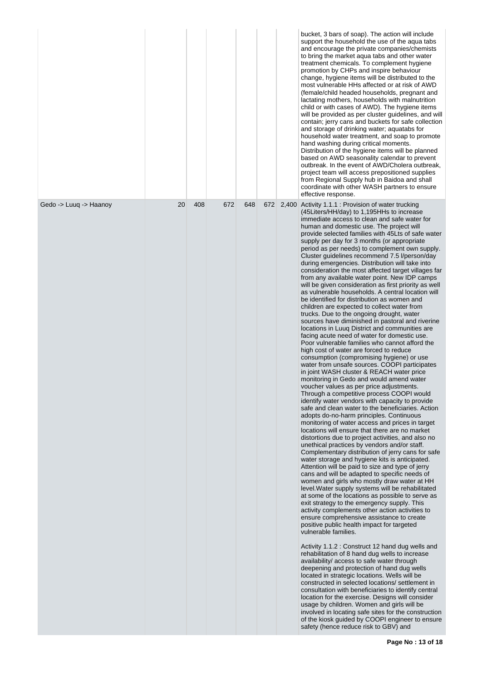|                        |    |     |     |     |     | bucket, 3 bars of soap). The action will include<br>support the household the use of the agua tabs<br>and encourage the private companies/chemists<br>to bring the market aqua tabs and other water<br>treatment chemicals. To complement hygiene<br>promotion by CHPs and inspire behaviour<br>change, hygiene items will be distributed to the<br>most vulnerable HHs affected or at risk of AWD<br>(female/child headed households, pregnant and<br>lactating mothers, households with malnutrition<br>child or with cases of AWD). The hygiene items<br>will be provided as per cluster guidelines, and will<br>contain; jerry cans and buckets for safe collection<br>and storage of drinking water; aquatabs for<br>household water treatment, and soap to promote<br>hand washing during critical moments.<br>Distribution of the hygiene items will be planned<br>based on AWD seasonality calendar to prevent<br>outbreak. In the event of AWD/Cholera outbreak,<br>project team will access prepositioned supplies<br>from Regional Supply hub in Baidoa and shall<br>coordinate with other WASH partners to ensure<br>effective response.                                                                                                                                                                                                                                                                                                                                                                                                                                                                                                                                                                                                                                                                                                                                                                                                                                                                                                                                                                                                                                                                                                                                                                                                                                                                                                                                                                                                                                                                                                                                                                                                                                                                                                                                                                                     |
|------------------------|----|-----|-----|-----|-----|------------------------------------------------------------------------------------------------------------------------------------------------------------------------------------------------------------------------------------------------------------------------------------------------------------------------------------------------------------------------------------------------------------------------------------------------------------------------------------------------------------------------------------------------------------------------------------------------------------------------------------------------------------------------------------------------------------------------------------------------------------------------------------------------------------------------------------------------------------------------------------------------------------------------------------------------------------------------------------------------------------------------------------------------------------------------------------------------------------------------------------------------------------------------------------------------------------------------------------------------------------------------------------------------------------------------------------------------------------------------------------------------------------------------------------------------------------------------------------------------------------------------------------------------------------------------------------------------------------------------------------------------------------------------------------------------------------------------------------------------------------------------------------------------------------------------------------------------------------------------------------------------------------------------------------------------------------------------------------------------------------------------------------------------------------------------------------------------------------------------------------------------------------------------------------------------------------------------------------------------------------------------------------------------------------------------------------------------------------------------------------------------------------------------------------------------------------------------------------------------------------------------------------------------------------------------------------------------------------------------------------------------------------------------------------------------------------------------------------------------------------------------------------------------------------------------------------------------------------------------------------------------------------------------------------------|
| Gedo -> Luuq -> Haanoy | 20 | 408 | 672 | 648 | 672 | 2,400 Activity 1.1.1 : Provision of water trucking<br>(45 Liters/HH/day) to 1,195 HHs to increase<br>immediate access to clean and safe water for<br>human and domestic use. The project will<br>provide selected families with 45Lts of safe water<br>supply per day for 3 months (or appropriate<br>period as per needs) to complement own supply.<br>Cluster guidelines recommend 7.5 l/person/day<br>during emergencies. Distribution will take into<br>consideration the most affected target villages far<br>from any available water point. New IDP camps<br>will be given consideration as first priority as well<br>as vulnerable households. A central location will<br>be identified for distribution as women and<br>children are expected to collect water from<br>trucks. Due to the ongoing drought, water<br>sources have diminished in pastoral and riverine<br>locations in Luuq District and communities are<br>facing acute need of water for domestic use.<br>Poor vulnerable families who cannot afford the<br>high cost of water are forced to reduce<br>consumption (compromising hygiene) or use<br>water from unsafe sources. COOPI participates<br>in joint WASH cluster & REACH water price<br>monitoring in Gedo and would amend water<br>voucher values as per price adjustments.<br>Through a competitive process COOPI would<br>identify water vendors with capacity to provide<br>safe and clean water to the beneficiaries. Action<br>adopts do-no-harm principles. Continuous<br>monitoring of water access and prices in target<br>locations will ensure that there are no market<br>distortions due to project activities, and also no<br>unethical practices by vendors and/or staff.<br>Complementary distribution of jerry cans for safe<br>water storage and hygiene kits is anticipated.<br>Attention will be paid to size and type of jerry<br>cans and will be adapted to specific needs of<br>women and girls who mostly draw water at HH<br>level. Water supply systems will be rehabilitated<br>at some of the locations as possible to serve as<br>exit strategy to the emergency supply. This<br>activity complements other action activities to<br>ensure comprehensive assistance to create<br>positive public health impact for targeted<br>vulnerable families.<br>Activity 1.1.2 : Construct 12 hand dug wells and<br>rehabilitation of 8 hand dug wells to increase<br>availability/ access to safe water through<br>deepening and protection of hand dug wells<br>located in strategic locations. Wells will be<br>constructed in selected locations/ settlement in<br>consultation with beneficiaries to identify central<br>location for the exercise. Designs will consider<br>usage by children. Women and girls will be<br>involved in locating safe sites for the construction<br>of the kiosk guided by COOPI engineer to ensure<br>safety (hence reduce risk to GBV) and |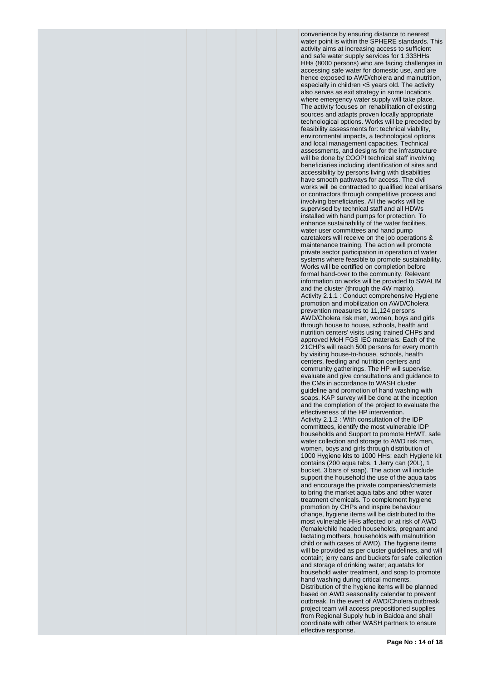convenience by ensuring distance to nearest water point is within the SPHERE standards. This activity aims at increasing access to sufficient and safe water supply services for 1,333HHs HHs (8000 persons) who are facing challenges in accessing safe water for domestic use, and are hence exposed to AWD/cholera and malnutrition, especially in children <5 years old. The activity also serves as exit strategy in some locations where emergency water supply will take place. The activity focuses on rehabilitation of existing sources and adapts proven locally appropriate technological options. Works will be preceded by feasibility assessments for: technical viability, environmental impacts, a technological options and local management capacities. Technical assessments, and designs for the infrastructure will be done by COOPI technical staff involving beneficiaries including identification of sites and accessibility by persons living with disabilities have smooth pathways for access. The civil works will be contracted to qualified local artisans or contractors through competitive process and involving beneficiaries. All the works will be supervised by technical staff and all HDWs installed with hand pumps for protection. To enhance sustainability of the water facilities, water user committees and hand pump caretakers will receive on the job operations & maintenance training. The action will promote private sector participation in operation of water systems where feasible to promote sustainability. Works will be certified on completion before formal hand-over to the community. Relevant information on works will be provided to SWALIM and the cluster (through the 4W matrix). Activity 2.1.1 : Conduct comprehensive Hygiene promotion and mobilization on AWD/Cholera prevention measures to 11,124 persons AWD/Cholera risk men, women, boys and girls through house to house, schools, health and nutrition centers' visits using trained CHPs and approved MoH FGS IEC materials. Each of the 21CHPs will reach 500 persons for every month by visiting house-to-house, schools, health centers, feeding and nutrition centers and community gatherings. The HP will supervise, evaluate and give consultations and guidance to the CMs in accordance to WASH cluster guideline and promotion of hand washing with soaps. KAP survey will be done at the inception and the completion of the project to evaluate the effectiveness of the HP intervention. Activity 2.1.2 : With consultation of the IDP committees, identify the most vulnerable IDP households and Support to promote HHWT, safe water collection and storage to AWD risk men, women, boys and girls through distribution of 1000 Hygiene kits to 1000 HHs; each Hygiene kit contains (200 aqua tabs, 1 Jerry can (20L), 1 bucket, 3 bars of soap). The action will include support the household the use of the aqua tabs and encourage the private companies/chemists to bring the market aqua tabs and other water treatment chemicals. To complement hygiene promotion by CHPs and inspire behaviour change, hygiene items will be distributed to the most vulnerable HHs affected or at risk of AWD (female/child headed households, pregnant and lactating mothers, households with malnutrition child or with cases of AWD). The hygiene items will be provided as per cluster guidelines, and will contain; jerry cans and buckets for safe collection and storage of drinking water; aquatabs for household water treatment, and soap to promote hand washing during critical moments. Distribution of the hygiene items will be planned based on AWD seasonality calendar to prevent outbreak. In the event of AWD/Cholera outbreak, project team will access prepositioned supplies from Regional Supply hub in Baidoa and shall coordinate with other WASH partners to ensure effective response.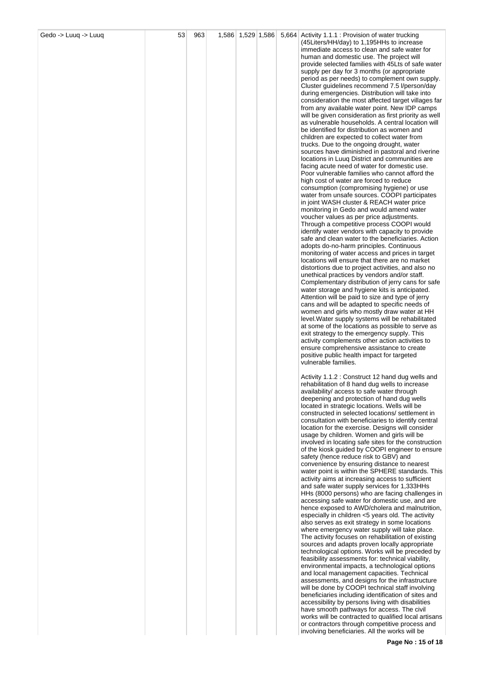| Gedo -> Luuq -> Luuq | 53 | 963 |  |  | 1,586 1,529 1,586 5,664 Activity 1.1.1 : Provision of water trucking<br>(45Liters/HH/day) to 1,195HHs to increase |
|----------------------|----|-----|--|--|-------------------------------------------------------------------------------------------------------------------|
|                      |    |     |  |  | immediate access to clean and safe water for<br>human and domestic use. The project will                          |
|                      |    |     |  |  | provide selected families with 45Lts of safe water                                                                |
|                      |    |     |  |  | supply per day for 3 months (or appropriate<br>period as per needs) to complement own supply.                     |
|                      |    |     |  |  | Cluster guidelines recommend 7.5 l/person/day                                                                     |
|                      |    |     |  |  | during emergencies. Distribution will take into<br>consideration the most affected target villages far            |
|                      |    |     |  |  | from any available water point. New IDP camps                                                                     |
|                      |    |     |  |  | will be given consideration as first priority as well<br>as vulnerable households. A central location will        |
|                      |    |     |  |  | be identified for distribution as women and                                                                       |
|                      |    |     |  |  | children are expected to collect water from<br>trucks. Due to the ongoing drought, water                          |
|                      |    |     |  |  | sources have diminished in pastoral and riverine<br>locations in Luuq District and communities are                |
|                      |    |     |  |  | facing acute need of water for domestic use.                                                                      |
|                      |    |     |  |  | Poor vulnerable families who cannot afford the<br>high cost of water are forced to reduce                         |
|                      |    |     |  |  | consumption (compromising hygiene) or use                                                                         |
|                      |    |     |  |  | water from unsafe sources. COOPI participates<br>in joint WASH cluster & REACH water price                        |
|                      |    |     |  |  | monitoring in Gedo and would amend water<br>voucher values as per price adjustments.                              |
|                      |    |     |  |  | Through a competitive process COOPI would                                                                         |
|                      |    |     |  |  | identify water vendors with capacity to provide<br>safe and clean water to the beneficiaries. Action              |
|                      |    |     |  |  | adopts do-no-harm principles. Continuous                                                                          |
|                      |    |     |  |  | monitoring of water access and prices in target<br>locations will ensure that there are no market                 |
|                      |    |     |  |  | distortions due to project activities, and also no                                                                |
|                      |    |     |  |  | unethical practices by vendors and/or staff.<br>Complementary distribution of jerry cans for safe                 |
|                      |    |     |  |  | water storage and hygiene kits is anticipated.                                                                    |
|                      |    |     |  |  | Attention will be paid to size and type of jerry<br>cans and will be adapted to specific needs of                 |
|                      |    |     |  |  | women and girls who mostly draw water at HH<br>level. Water supply systems will be rehabilitated                  |
|                      |    |     |  |  | at some of the locations as possible to serve as                                                                  |
|                      |    |     |  |  | exit strategy to the emergency supply. This<br>activity complements other action activities to                    |
|                      |    |     |  |  | ensure comprehensive assistance to create                                                                         |
|                      |    |     |  |  | positive public health impact for targeted<br>vulnerable families.                                                |
|                      |    |     |  |  | Activity 1.1.2 : Construct 12 hand dug wells and                                                                  |
|                      |    |     |  |  | rehabilitation of 8 hand dug wells to increase                                                                    |
|                      |    |     |  |  | availability/ access to safe water through<br>deepening and protection of hand dug wells                          |
|                      |    |     |  |  | located in strategic locations. Wells will be<br>constructed in selected locations/settlement in                  |
|                      |    |     |  |  | consultation with beneficiaries to identify central                                                               |
|                      |    |     |  |  | location for the exercise. Designs will consider<br>usage by children. Women and girls will be                    |
|                      |    |     |  |  | involved in locating safe sites for the construction                                                              |
|                      |    |     |  |  | of the kiosk guided by COOPI engineer to ensure<br>safety (hence reduce risk to GBV) and                          |
|                      |    |     |  |  | convenience by ensuring distance to nearest<br>water point is within the SPHERE standards. This                   |
|                      |    |     |  |  | activity aims at increasing access to sufficient                                                                  |
|                      |    |     |  |  | and safe water supply services for 1,333HHs<br>HHs (8000 persons) who are facing challenges in                    |
|                      |    |     |  |  | accessing safe water for domestic use, and are                                                                    |
|                      |    |     |  |  | hence exposed to AWD/cholera and malnutrition,<br>especially in children <5 years old. The activity               |
|                      |    |     |  |  | also serves as exit strategy in some locations<br>where emergency water supply will take place.                   |
|                      |    |     |  |  | The activity focuses on rehabilitation of existing                                                                |
|                      |    |     |  |  | sources and adapts proven locally appropriate<br>technological options. Works will be preceded by                 |
|                      |    |     |  |  | feasibility assessments for: technical viability,<br>environmental impacts, a technological options               |
|                      |    |     |  |  | and local management capacities. Technical                                                                        |
|                      |    |     |  |  | assessments, and designs for the infrastructure<br>will be done by COOPI technical staff involving                |
|                      |    |     |  |  | beneficiaries including identification of sites and                                                               |
|                      |    |     |  |  | accessibility by persons living with disabilities<br>have smooth pathways for access. The civil                   |
|                      |    |     |  |  | works will be contracted to qualified local artisans<br>or contractors through competitive process and            |
|                      |    |     |  |  | involving beneficiaries. All the works will be                                                                    |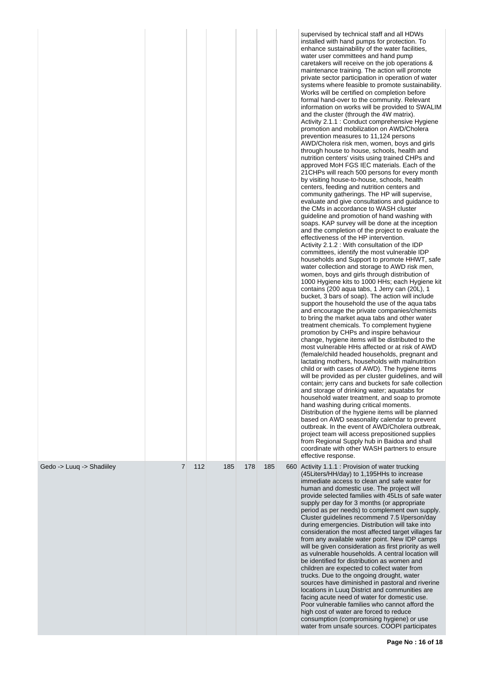|                           |   |     |     |     |     | supervised by technical staff and all HDWs<br>installed with hand pumps for protection. To<br>enhance sustainability of the water facilities,<br>water user committees and hand pump<br>caretakers will receive on the job operations &<br>maintenance training. The action will promote<br>private sector participation in operation of water<br>systems where feasible to promote sustainability.<br>Works will be certified on completion before<br>formal hand-over to the community. Relevant<br>information on works will be provided to SWALIM<br>and the cluster (through the 4W matrix).<br>Activity 2.1.1 : Conduct comprehensive Hygiene<br>promotion and mobilization on AWD/Cholera<br>prevention measures to 11,124 persons<br>AWD/Cholera risk men, women, boys and girls<br>through house to house, schools, health and<br>nutrition centers' visits using trained CHPs and<br>approved MoH FGS IEC materials. Each of the<br>21 CHPs will reach 500 persons for every month<br>by visiting house-to-house, schools, health<br>centers, feeding and nutrition centers and<br>community gatherings. The HP will supervise,<br>evaluate and give consultations and guidance to<br>the CMs in accordance to WASH cluster<br>guideline and promotion of hand washing with<br>soaps. KAP survey will be done at the inception<br>and the completion of the project to evaluate the<br>effectiveness of the HP intervention.<br>Activity 2.1.2 : With consultation of the IDP<br>committees, identify the most vulnerable IDP<br>households and Support to promote HHWT, safe<br>water collection and storage to AWD risk men,<br>women, boys and girls through distribution of<br>1000 Hygiene kits to 1000 HHs; each Hygiene kit<br>contains (200 aqua tabs, 1 Jerry can (20L), 1<br>bucket, 3 bars of soap). The action will include<br>support the household the use of the agua tabs<br>and encourage the private companies/chemists<br>to bring the market aqua tabs and other water<br>treatment chemicals. To complement hygiene<br>promotion by CHPs and inspire behaviour<br>change, hygiene items will be distributed to the<br>most vulnerable HHs affected or at risk of AWD<br>(female/child headed households, pregnant and<br>lactating mothers, households with malnutrition<br>child or with cases of AWD). The hygiene items<br>will be provided as per cluster guidelines, and will<br>contain; jerry cans and buckets for safe collection<br>and storage of drinking water; aquatabs for<br>household water treatment, and soap to promote<br>hand washing during critical moments.<br>Distribution of the hygiene items will be planned<br>based on AWD seasonality calendar to prevent<br>outbreak. In the event of AWD/Cholera outbreak,<br>project team will access prepositioned supplies<br>from Regional Supply hub in Baidoa and shall<br>coordinate with other WASH partners to ensure<br>effective response. |
|---------------------------|---|-----|-----|-----|-----|-------------------------------------------------------------------------------------------------------------------------------------------------------------------------------------------------------------------------------------------------------------------------------------------------------------------------------------------------------------------------------------------------------------------------------------------------------------------------------------------------------------------------------------------------------------------------------------------------------------------------------------------------------------------------------------------------------------------------------------------------------------------------------------------------------------------------------------------------------------------------------------------------------------------------------------------------------------------------------------------------------------------------------------------------------------------------------------------------------------------------------------------------------------------------------------------------------------------------------------------------------------------------------------------------------------------------------------------------------------------------------------------------------------------------------------------------------------------------------------------------------------------------------------------------------------------------------------------------------------------------------------------------------------------------------------------------------------------------------------------------------------------------------------------------------------------------------------------------------------------------------------------------------------------------------------------------------------------------------------------------------------------------------------------------------------------------------------------------------------------------------------------------------------------------------------------------------------------------------------------------------------------------------------------------------------------------------------------------------------------------------------------------------------------------------------------------------------------------------------------------------------------------------------------------------------------------------------------------------------------------------------------------------------------------------------------------------------------------------------------------------------------------------------------------------------------------------------------------------------------------------------------------------------------------------------------------------|
| Gedo -> Luuq -> Shadiiley | 7 | 112 | 185 | 178 | 185 | 660 Activity 1.1.1 : Provision of water trucking<br>(45Liters/HH/day) to 1,195HHs to increase<br>immediate access to clean and safe water for<br>human and domestic use. The project will<br>provide selected families with 45Lts of safe water<br>supply per day for 3 months (or appropriate<br>period as per needs) to complement own supply.<br>Cluster guidelines recommend 7.5 l/person/day<br>during emergencies. Distribution will take into<br>consideration the most affected target villages far<br>from any available water point. New IDP camps<br>will be given consideration as first priority as well<br>as vulnerable households. A central location will<br>be identified for distribution as women and<br>children are expected to collect water from<br>trucks. Due to the ongoing drought, water<br>sources have diminished in pastoral and riverine<br>locations in Luuq District and communities are<br>facing acute need of water for domestic use.<br>Poor vulnerable families who cannot afford the<br>high cost of water are forced to reduce<br>consumption (compromising hygiene) or use<br>water from unsafe sources. COOPI participates                                                                                                                                                                                                                                                                                                                                                                                                                                                                                                                                                                                                                                                                                                                                                                                                                                                                                                                                                                                                                                                                                                                                                                                                                                                                                                                                                                                                                                                                                                                                                                                                                                                                                                                                                                                |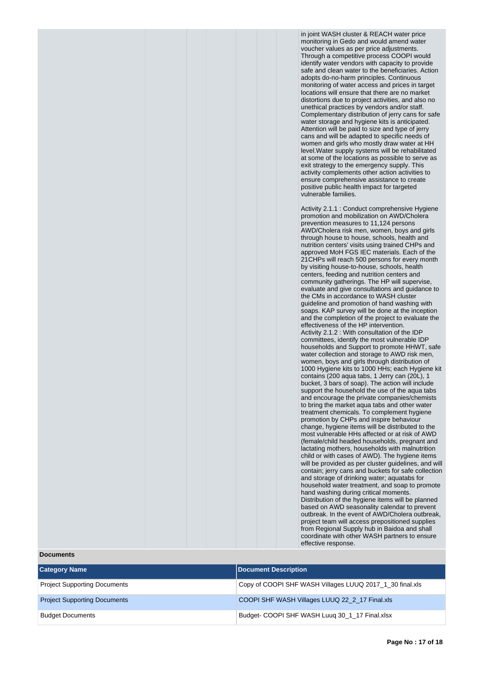in joint WASH cluster & REACH water price monitoring in Gedo and would amend water voucher values as per price adjustments. Through a competitive process COOPI would identify water vendors with capacity to provide safe and clean water to the beneficiaries. Action adopts do-no-harm principles. Continuous monitoring of water access and prices in target locations will ensure that there are no market distortions due to project activities, and also no unethical practices by vendors and/or staff. Complementary distribution of jerry cans for safe water storage and hygiene kits is anticipated. Attention will be paid to size and type of jerry cans and will be adapted to specific needs of women and girls who mostly draw water at HH level.Water supply systems will be rehabilitated at some of the locations as possible to serve as exit strategy to the emergency supply. This activity complements other action activities to ensure comprehensive assistance to create positive public health impact for targeted vulnerable families.

Activity 2.1.1 : Conduct comprehensive Hygiene promotion and mobilization on AWD/Cholera prevention measures to 11,124 persons AWD/Cholera risk men, women, boys and girls through house to house, schools, health and nutrition centers' visits using trained CHPs and approved MoH FGS IEC materials. Each of the 21CHPs will reach 500 persons for every month by visiting house-to-house, schools, health centers, feeding and nutrition centers and community gatherings. The HP will supervise, evaluate and give consultations and guidance to the CMs in accordance to WASH cluster guideline and promotion of hand washing with soaps. KAP survey will be done at the inception and the completion of the project to evaluate the effectiveness of the HP intervention. Activity 2.1.2 : With consultation of the IDP committees, identify the most vulnerable IDP households and Support to promote HHWT, safe water collection and storage to AWD risk men, women, boys and girls through distribution of 1000 Hygiene kits to 1000 HHs; each Hygiene kit contains (200 aqua tabs, 1 Jerry can (20L), 1 bucket, 3 bars of soap). The action will include support the household the use of the aqua tabs and encourage the private companies/chemists to bring the market aqua tabs and other water treatment chemicals. To complement hygiene promotion by CHPs and inspire behaviour change, hygiene items will be distributed to the most vulnerable HHs affected or at risk of AWD (female/child headed households, pregnant and lactating mothers, households with malnutrition child or with cases of AWD). The hygiene items will be provided as per cluster guidelines, and will contain; jerry cans and buckets for safe collection and storage of drinking water; aquatabs for household water treatment, and soap to promote hand washing during critical moments. Distribution of the hygiene items will be planned based on AWD seasonality calendar to prevent outbreak. In the event of AWD/Cholera outbreak, project team will access prepositioned supplies from Regional Supply hub in Baidoa and shall coordinate with other WASH partners to ensure effective response.

#### **Documents**

| <b>Category Name</b>                | Document Description                                     |
|-------------------------------------|----------------------------------------------------------|
| <b>Project Supporting Documents</b> | Copy of COOPI SHF WASH Villages LUUQ 2017_1_30 final.xls |
| <b>Project Supporting Documents</b> | COOPI SHF WASH Villages LUUQ 22_2_17 Final.xls           |
| <b>Budget Documents</b>             | Budget-COOPI SHF WASH Luuq 30_1_17 Final.xlsx            |